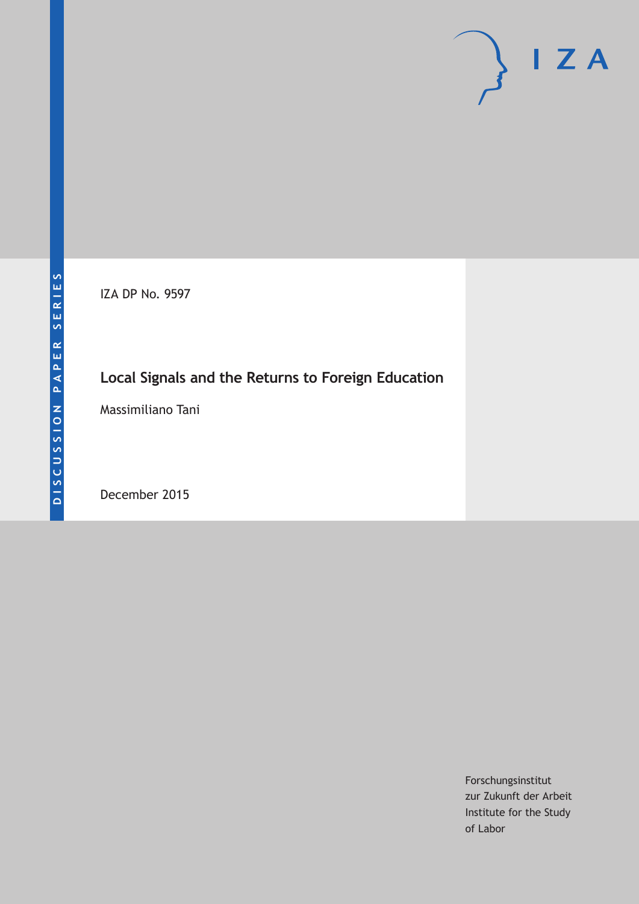IZA DP No. 9597

# **Local Signals and the Returns to Foreign Education**

Massimiliano Tani

December 2015

Forschungsinstitut zur Zukunft der Arbeit Institute for the Study of Labor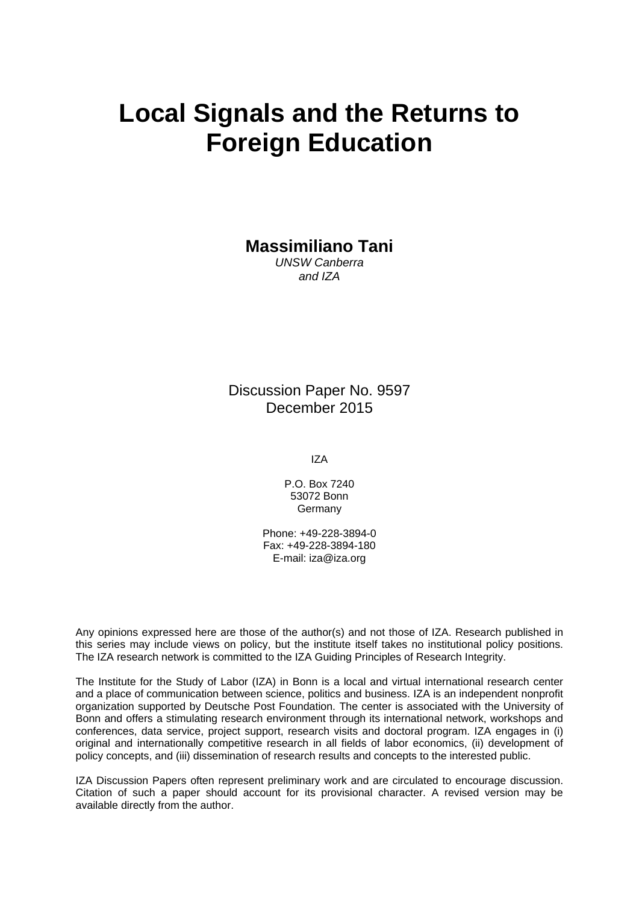# **Local Signals and the Returns to Foreign Education**

**Massimiliano Tani** 

*UNSW Canberra and IZA* 

Discussion Paper No. 9597 December 2015

IZA

P.O. Box 7240 53072 Bonn Germany

Phone: +49-228-3894-0 Fax: +49-228-3894-180 E-mail: iza@iza.org

Any opinions expressed here are those of the author(s) and not those of IZA. Research published in this series may include views on policy, but the institute itself takes no institutional policy positions. The IZA research network is committed to the IZA Guiding Principles of Research Integrity.

The Institute for the Study of Labor (IZA) in Bonn is a local and virtual international research center and a place of communication between science, politics and business. IZA is an independent nonprofit organization supported by Deutsche Post Foundation. The center is associated with the University of Bonn and offers a stimulating research environment through its international network, workshops and conferences, data service, project support, research visits and doctoral program. IZA engages in (i) original and internationally competitive research in all fields of labor economics, (ii) development of policy concepts, and (iii) dissemination of research results and concepts to the interested public.

IZA Discussion Papers often represent preliminary work and are circulated to encourage discussion. Citation of such a paper should account for its provisional character. A revised version may be available directly from the author.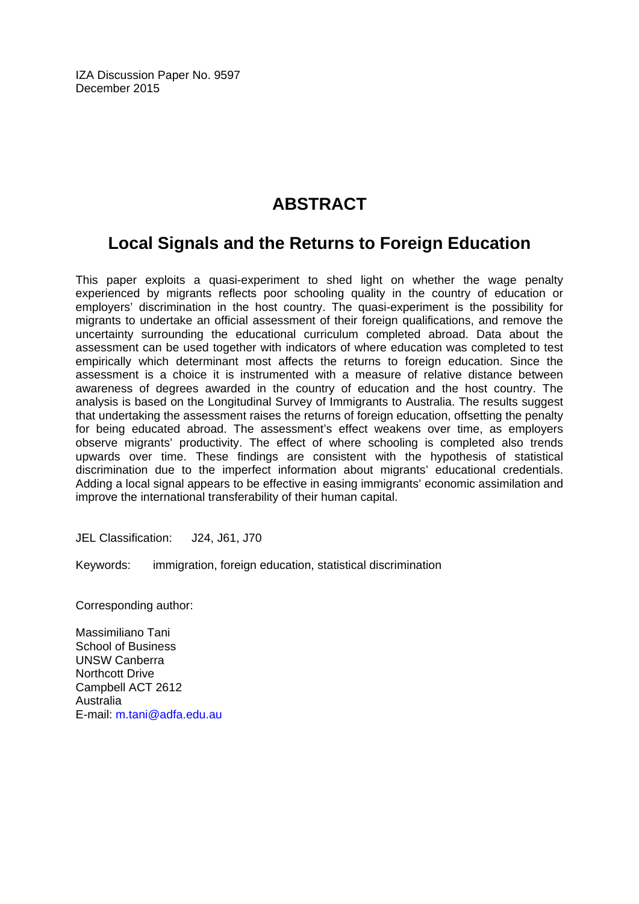IZA Discussion Paper No. 9597 December 2015

# **ABSTRACT**

## **Local Signals and the Returns to Foreign Education**

This paper exploits a quasi-experiment to shed light on whether the wage penalty experienced by migrants reflects poor schooling quality in the country of education or employers' discrimination in the host country. The quasi-experiment is the possibility for migrants to undertake an official assessment of their foreign qualifications, and remove the uncertainty surrounding the educational curriculum completed abroad. Data about the assessment can be used together with indicators of where education was completed to test empirically which determinant most affects the returns to foreign education. Since the assessment is a choice it is instrumented with a measure of relative distance between awareness of degrees awarded in the country of education and the host country. The analysis is based on the Longitudinal Survey of Immigrants to Australia. The results suggest that undertaking the assessment raises the returns of foreign education, offsetting the penalty for being educated abroad. The assessment's effect weakens over time, as employers observe migrants' productivity. The effect of where schooling is completed also trends upwards over time. These findings are consistent with the hypothesis of statistical discrimination due to the imperfect information about migrants' educational credentials. Adding a local signal appears to be effective in easing immigrants' economic assimilation and improve the international transferability of their human capital.

JEL Classification: J24, J61, J70

Keywords: immigration, foreign education, statistical discrimination

Corresponding author:

Massimiliano Tani School of Business UNSW Canberra Northcott Drive Campbell ACT 2612 Australia E-mail: m.tani@adfa.edu.au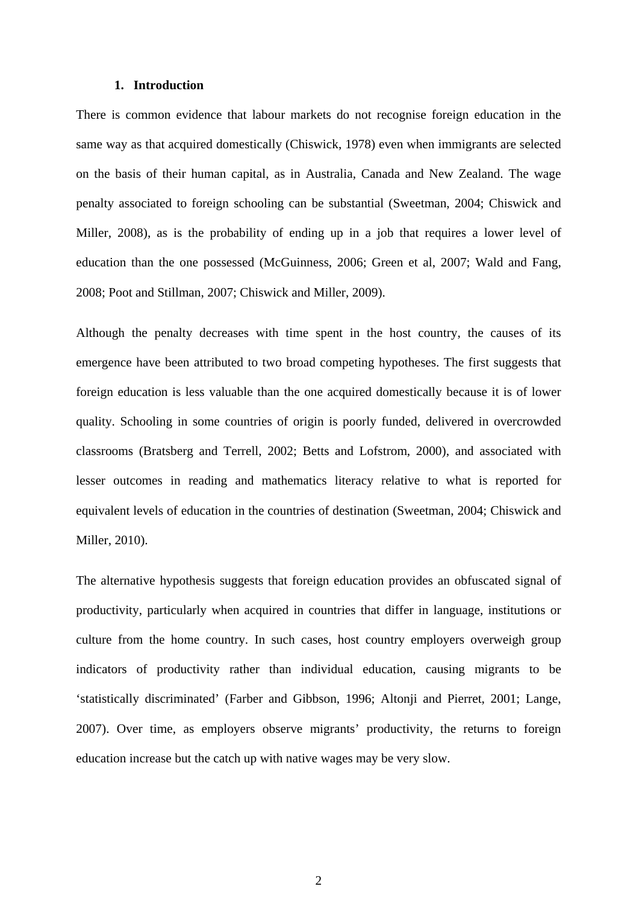#### **1. Introduction**

There is common evidence that labour markets do not recognise foreign education in the same way as that acquired domestically (Chiswick, 1978) even when immigrants are selected on the basis of their human capital, as in Australia, Canada and New Zealand. The wage penalty associated to foreign schooling can be substantial (Sweetman, 2004; Chiswick and Miller, 2008), as is the probability of ending up in a job that requires a lower level of education than the one possessed (McGuinness, 2006; Green et al, 2007; Wald and Fang, 2008; Poot and Stillman, 2007; Chiswick and Miller, 2009).

Although the penalty decreases with time spent in the host country, the causes of its emergence have been attributed to two broad competing hypotheses. The first suggests that foreign education is less valuable than the one acquired domestically because it is of lower quality. Schooling in some countries of origin is poorly funded, delivered in overcrowded classrooms (Bratsberg and Terrell, 2002; Betts and Lofstrom, 2000), and associated with lesser outcomes in reading and mathematics literacy relative to what is reported for equivalent levels of education in the countries of destination (Sweetman, 2004; Chiswick and Miller, 2010).

The alternative hypothesis suggests that foreign education provides an obfuscated signal of productivity, particularly when acquired in countries that differ in language, institutions or culture from the home country. In such cases, host country employers overweigh group indicators of productivity rather than individual education, causing migrants to be 'statistically discriminated' (Farber and Gibbson, 1996; Altonji and Pierret, 2001; Lange, 2007). Over time, as employers observe migrants' productivity, the returns to foreign education increase but the catch up with native wages may be very slow.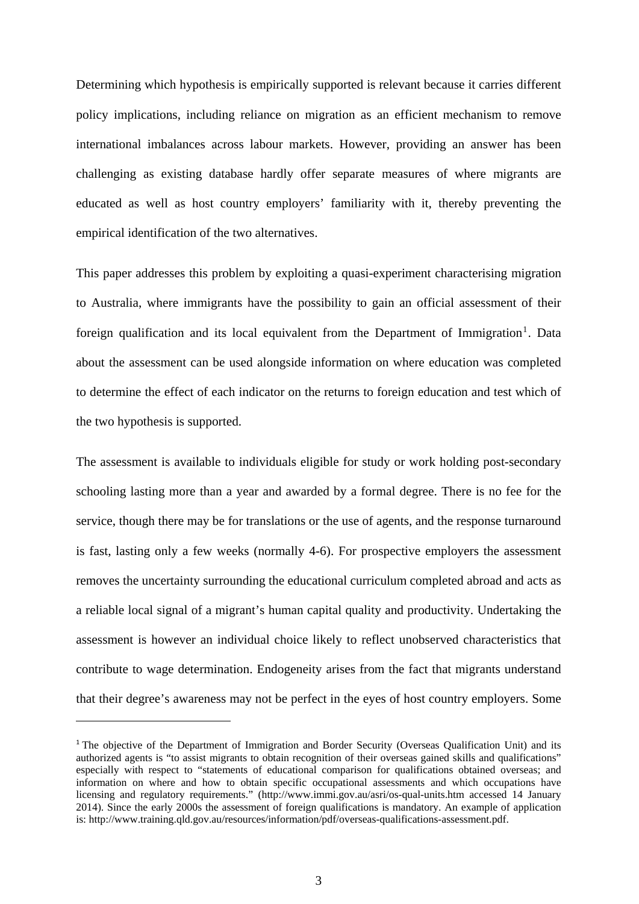Determining which hypothesis is empirically supported is relevant because it carries different policy implications, including reliance on migration as an efficient mechanism to remove international imbalances across labour markets. However, providing an answer has been challenging as existing database hardly offer separate measures of where migrants are educated as well as host country employers' familiarity with it, thereby preventing the empirical identification of the two alternatives.

This paper addresses this problem by exploiting a quasi-experiment characterising migration to Australia, where immigrants have the possibility to gain an official assessment of their foreign qualification and its local equivalent from the Department of Immigration<sup>1</sup>. Data about the assessment can be used alongside information on where education was completed to determine the effect of each indicator on the returns to foreign education and test which of the two hypothesis is supported.

The assessment is available to individuals eligible for study or work holding post-secondary schooling lasting more than a year and awarded by a formal degree. There is no fee for the service, though there may be for translations or the use of agents, and the response turnaround is fast, lasting only a few weeks (normally 4-6). For prospective employers the assessment removes the uncertainty surrounding the educational curriculum completed abroad and acts as a reliable local signal of a migrant's human capital quality and productivity. Undertaking the assessment is however an individual choice likely to reflect unobserved characteristics that contribute to wage determination. Endogeneity arises from the fact that migrants understand that their degree's awareness may not be perfect in the eyes of host country employers. Some

<sup>&</sup>lt;sup>1</sup> The objective of the Department of Immigration and Border Security (Overseas Qualification Unit) and its authorized agents is "to assist migrants to obtain recognition of their overseas gained skills and qualifications" especially with respect to "statements of educational comparison for qualifications obtained overseas; and information on where and how to obtain specific occupational assessments and which occupations have licensing and regulatory requirements." (http://www.immi.gov.au/asri/os-qual-units.htm accessed 14 January 2014). Since the early 2000s the assessment of foreign qualifications is mandatory. An example of application is: http://www.training.qld.gov.au/resources/information/pdf/overseas-qualifications-assessment.pdf.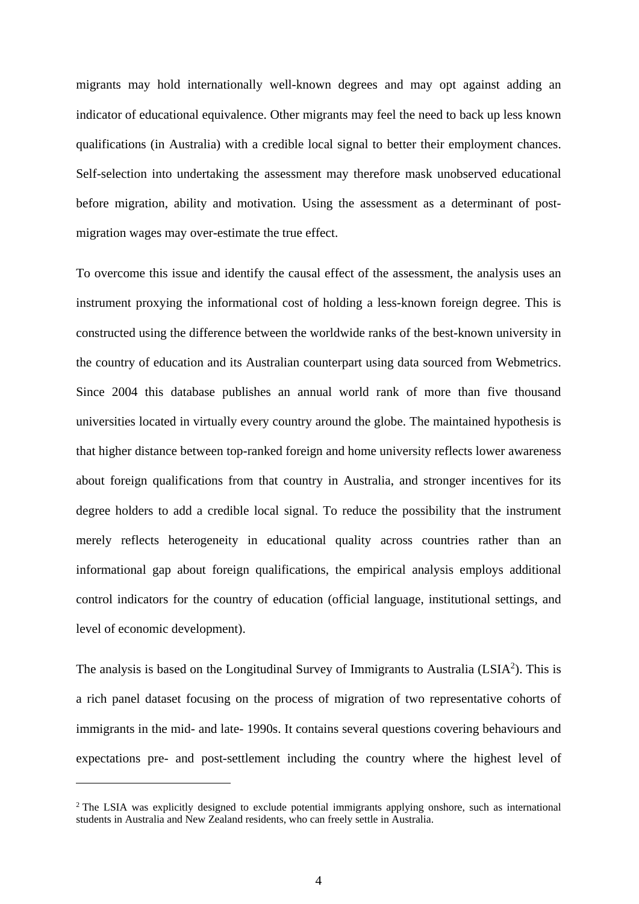migrants may hold internationally well-known degrees and may opt against adding an indicator of educational equivalence. Other migrants may feel the need to back up less known qualifications (in Australia) with a credible local signal to better their employment chances. Self-selection into undertaking the assessment may therefore mask unobserved educational before migration, ability and motivation. Using the assessment as a determinant of postmigration wages may over-estimate the true effect.

To overcome this issue and identify the causal effect of the assessment, the analysis uses an instrument proxying the informational cost of holding a less-known foreign degree. This is constructed using the difference between the worldwide ranks of the best-known university in the country of education and its Australian counterpart using data sourced from Webmetrics. Since 2004 this database publishes an annual world rank of more than five thousand universities located in virtually every country around the globe. The maintained hypothesis is that higher distance between top-ranked foreign and home university reflects lower awareness about foreign qualifications from that country in Australia, and stronger incentives for its degree holders to add a credible local signal. To reduce the possibility that the instrument merely reflects heterogeneity in educational quality across countries rather than an informational gap about foreign qualifications, the empirical analysis employs additional control indicators for the country of education (official language, institutional settings, and level of economic development).

The analysis is based on the Longitudinal Survey of Immigrants to Australia  $(LSIA<sup>2</sup>)$ . This is a rich panel dataset focusing on the process of migration of two representative cohorts of immigrants in the mid- and late- 1990s. It contains several questions covering behaviours and expectations pre- and post-settlement including the country where the highest level of

<sup>&</sup>lt;sup>2</sup> The LSIA was explicitly designed to exclude potential immigrants applying onshore, such as international students in Australia and New Zealand residents, who can freely settle in Australia.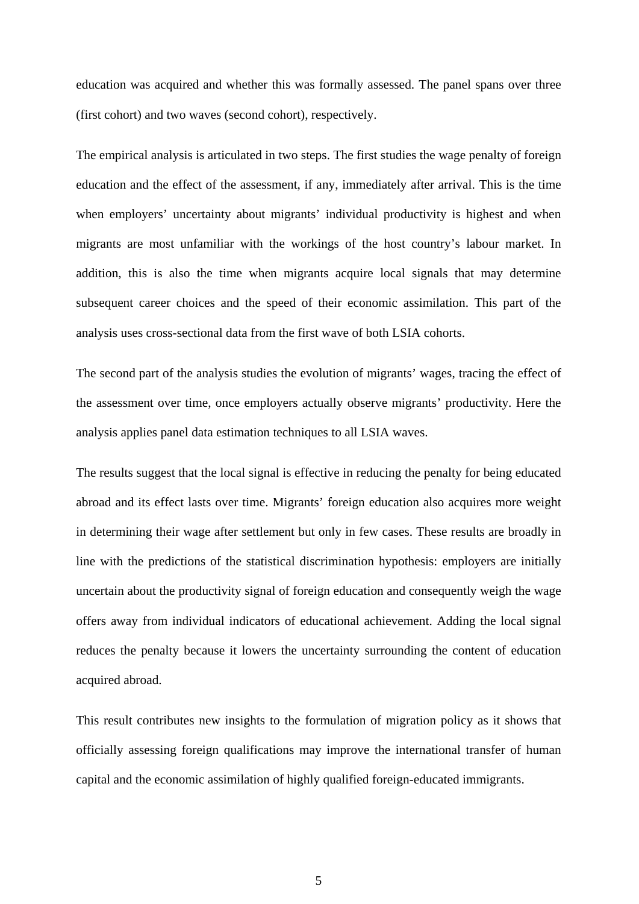education was acquired and whether this was formally assessed. The panel spans over three (first cohort) and two waves (second cohort), respectively.

The empirical analysis is articulated in two steps. The first studies the wage penalty of foreign education and the effect of the assessment, if any, immediately after arrival. This is the time when employers' uncertainty about migrants' individual productivity is highest and when migrants are most unfamiliar with the workings of the host country's labour market. In addition, this is also the time when migrants acquire local signals that may determine subsequent career choices and the speed of their economic assimilation. This part of the analysis uses cross-sectional data from the first wave of both LSIA cohorts.

The second part of the analysis studies the evolution of migrants' wages, tracing the effect of the assessment over time, once employers actually observe migrants' productivity. Here the analysis applies panel data estimation techniques to all LSIA waves.

The results suggest that the local signal is effective in reducing the penalty for being educated abroad and its effect lasts over time. Migrants' foreign education also acquires more weight in determining their wage after settlement but only in few cases. These results are broadly in line with the predictions of the statistical discrimination hypothesis: employers are initially uncertain about the productivity signal of foreign education and consequently weigh the wage offers away from individual indicators of educational achievement. Adding the local signal reduces the penalty because it lowers the uncertainty surrounding the content of education acquired abroad.

This result contributes new insights to the formulation of migration policy as it shows that officially assessing foreign qualifications may improve the international transfer of human capital and the economic assimilation of highly qualified foreign-educated immigrants.

5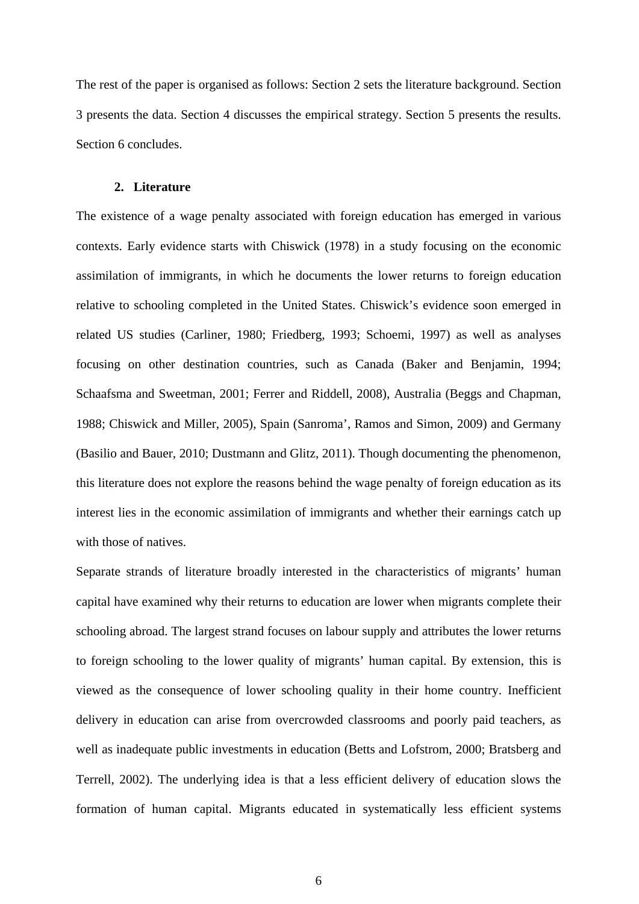The rest of the paper is organised as follows: Section 2 sets the literature background. Section 3 presents the data. Section 4 discusses the empirical strategy. Section 5 presents the results. Section 6 concludes.

#### **2. Literature**

The existence of a wage penalty associated with foreign education has emerged in various contexts. Early evidence starts with Chiswick (1978) in a study focusing on the economic assimilation of immigrants, in which he documents the lower returns to foreign education relative to schooling completed in the United States. Chiswick's evidence soon emerged in related US studies (Carliner, 1980; Friedberg, 1993; Schoemi, 1997) as well as analyses focusing on other destination countries, such as Canada (Baker and Benjamin, 1994; Schaafsma and Sweetman, 2001; Ferrer and Riddell, 2008), Australia (Beggs and Chapman, 1988; Chiswick and Miller, 2005), Spain (Sanroma', Ramos and Simon, 2009) and Germany (Basilio and Bauer, 2010; Dustmann and Glitz, 2011). Though documenting the phenomenon, this literature does not explore the reasons behind the wage penalty of foreign education as its interest lies in the economic assimilation of immigrants and whether their earnings catch up with those of natives.

Separate strands of literature broadly interested in the characteristics of migrants' human capital have examined why their returns to education are lower when migrants complete their schooling abroad. The largest strand focuses on labour supply and attributes the lower returns to foreign schooling to the lower quality of migrants' human capital. By extension, this is viewed as the consequence of lower schooling quality in their home country. Inefficient delivery in education can arise from overcrowded classrooms and poorly paid teachers, as well as inadequate public investments in education (Betts and Lofstrom, 2000; Bratsberg and Terrell, 2002). The underlying idea is that a less efficient delivery of education slows the formation of human capital. Migrants educated in systematically less efficient systems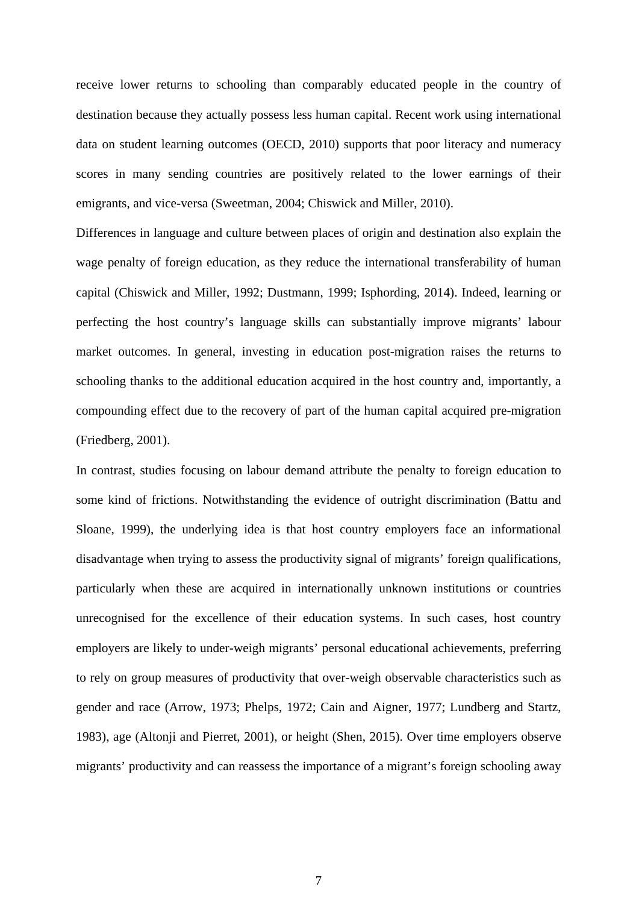receive lower returns to schooling than comparably educated people in the country of destination because they actually possess less human capital. Recent work using international data on student learning outcomes (OECD, 2010) supports that poor literacy and numeracy scores in many sending countries are positively related to the lower earnings of their emigrants, and vice-versa (Sweetman, 2004; Chiswick and Miller, 2010).

Differences in language and culture between places of origin and destination also explain the wage penalty of foreign education, as they reduce the international transferability of human capital (Chiswick and Miller, 1992; Dustmann, 1999; Isphording, 2014). Indeed, learning or perfecting the host country's language skills can substantially improve migrants' labour market outcomes. In general, investing in education post-migration raises the returns to schooling thanks to the additional education acquired in the host country and, importantly, a compounding effect due to the recovery of part of the human capital acquired pre-migration (Friedberg, 2001).

In contrast, studies focusing on labour demand attribute the penalty to foreign education to some kind of frictions. Notwithstanding the evidence of outright discrimination (Battu and Sloane, 1999), the underlying idea is that host country employers face an informational disadvantage when trying to assess the productivity signal of migrants' foreign qualifications, particularly when these are acquired in internationally unknown institutions or countries unrecognised for the excellence of their education systems. In such cases, host country employers are likely to under-weigh migrants' personal educational achievements, preferring to rely on group measures of productivity that over-weigh observable characteristics such as gender and race (Arrow, 1973; Phelps, 1972; Cain and Aigner, 1977; Lundberg and Startz, 1983), age (Altonji and Pierret, 2001), or height (Shen, 2015). Over time employers observe migrants' productivity and can reassess the importance of a migrant's foreign schooling away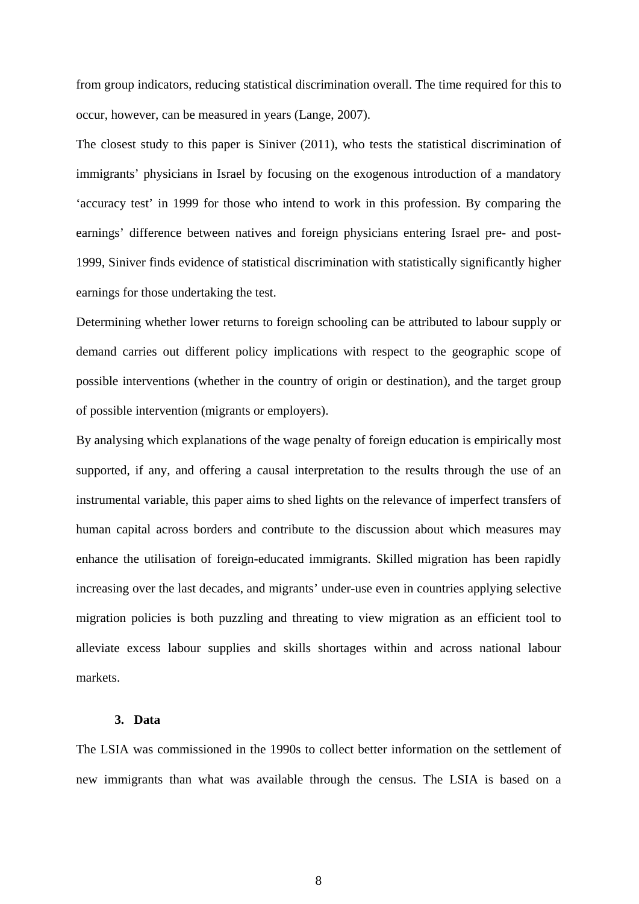from group indicators, reducing statistical discrimination overall. The time required for this to occur, however, can be measured in years (Lange, 2007).

The closest study to this paper is Siniver (2011), who tests the statistical discrimination of immigrants' physicians in Israel by focusing on the exogenous introduction of a mandatory 'accuracy test' in 1999 for those who intend to work in this profession. By comparing the earnings' difference between natives and foreign physicians entering Israel pre- and post-1999, Siniver finds evidence of statistical discrimination with statistically significantly higher earnings for those undertaking the test.

Determining whether lower returns to foreign schooling can be attributed to labour supply or demand carries out different policy implications with respect to the geographic scope of possible interventions (whether in the country of origin or destination), and the target group of possible intervention (migrants or employers).

By analysing which explanations of the wage penalty of foreign education is empirically most supported, if any, and offering a causal interpretation to the results through the use of an instrumental variable, this paper aims to shed lights on the relevance of imperfect transfers of human capital across borders and contribute to the discussion about which measures may enhance the utilisation of foreign-educated immigrants. Skilled migration has been rapidly increasing over the last decades, and migrants' under-use even in countries applying selective migration policies is both puzzling and threating to view migration as an efficient tool to alleviate excess labour supplies and skills shortages within and across national labour markets.

#### **3. Data**

The LSIA was commissioned in the 1990s to collect better information on the settlement of new immigrants than what was available through the census. The LSIA is based on a

8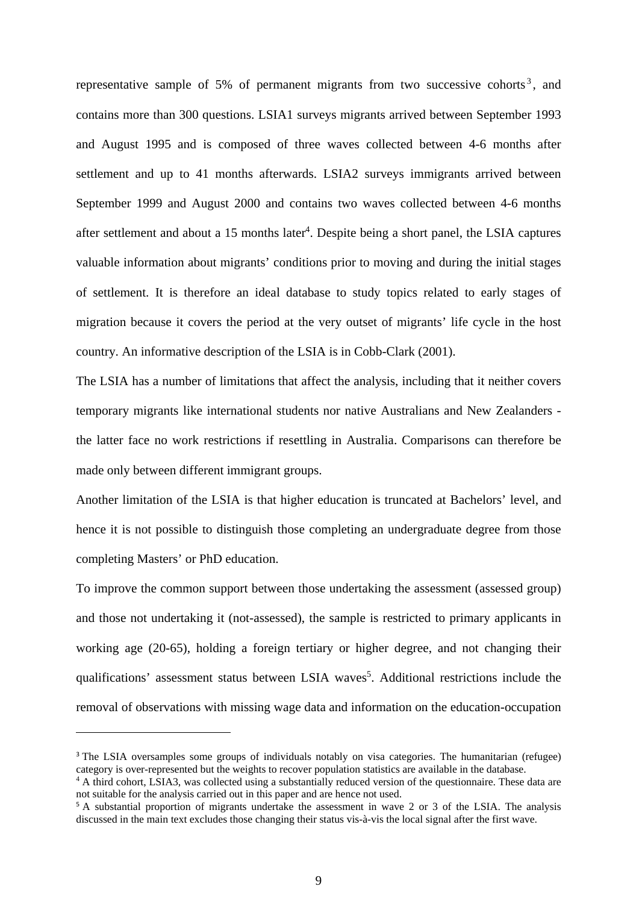representative sample of 5% of permanent migrants from two successive cohorts<sup>3</sup>, and contains more than 300 questions. LSIA1 surveys migrants arrived between September 1993 and August 1995 and is composed of three waves collected between 4-6 months after settlement and up to 41 months afterwards. LSIA2 surveys immigrants arrived between September 1999 and August 2000 and contains two waves collected between 4-6 months after settlement and about a 15 months later<sup>4</sup>. Despite being a short panel, the LSIA captures valuable information about migrants' conditions prior to moving and during the initial stages of settlement. It is therefore an ideal database to study topics related to early stages of migration because it covers the period at the very outset of migrants' life cycle in the host country. An informative description of the LSIA is in Cobb-Clark (2001).

The LSIA has a number of limitations that affect the analysis, including that it neither covers temporary migrants like international students nor native Australians and New Zealanders the latter face no work restrictions if resettling in Australia. Comparisons can therefore be made only between different immigrant groups.

Another limitation of the LSIA is that higher education is truncated at Bachelors' level, and hence it is not possible to distinguish those completing an undergraduate degree from those completing Masters' or PhD education.

To improve the common support between those undertaking the assessment (assessed group) and those not undertaking it (not-assessed), the sample is restricted to primary applicants in working age (20-65), holding a foreign tertiary or higher degree, and not changing their qualifications' assessment status between LSIA waves<sup>5</sup>. Additional restrictions include the removal of observations with missing wage data and information on the education-occupation

<sup>&</sup>lt;sup>3</sup> The LSIA oversamples some groups of individuals notably on visa categories. The humanitarian (refugee) category is over-represented but the weights to recover population statistics are available in the database.

<sup>&</sup>lt;sup>4</sup> A third cohort, LSIA3, was collected using a substantially reduced version of the questionnaire. These data are not suitable for the analysis carried out in this paper and are hence not used.

<sup>5</sup> A substantial proportion of migrants undertake the assessment in wave 2 or 3 of the LSIA. The analysis discussed in the main text excludes those changing their status vis-à-vis the local signal after the first wave.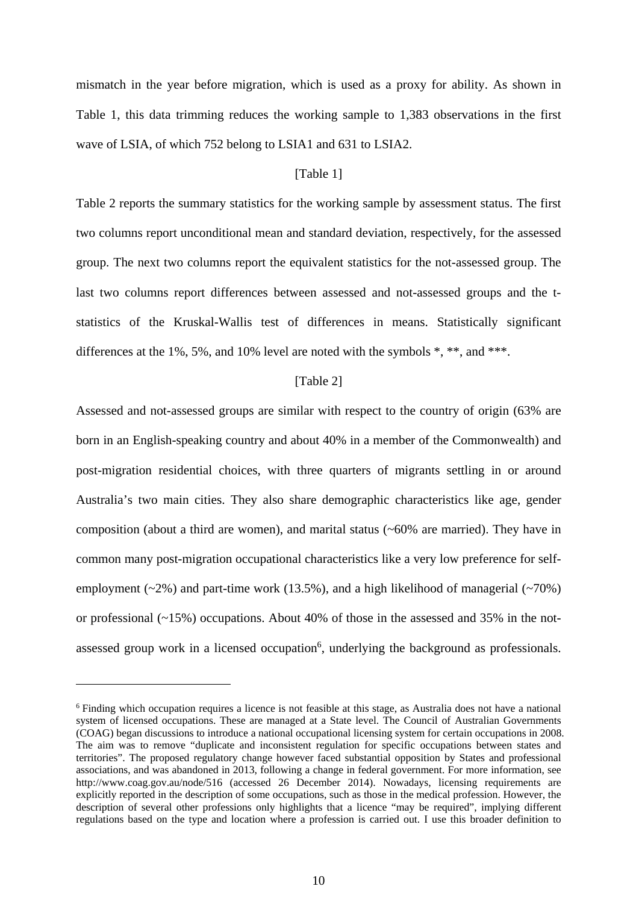mismatch in the year before migration, which is used as a proxy for ability. As shown in Table 1, this data trimming reduces the working sample to 1,383 observations in the first wave of LSIA, of which 752 belong to LSIA1 and 631 to LSIA2.

#### [Table 1]

Table 2 reports the summary statistics for the working sample by assessment status. The first two columns report unconditional mean and standard deviation, respectively, for the assessed group. The next two columns report the equivalent statistics for the not-assessed group. The last two columns report differences between assessed and not-assessed groups and the tstatistics of the Kruskal-Wallis test of differences in means. Statistically significant differences at the 1%, 5%, and 10% level are noted with the symbols  $*, **$ , and  $***$ .

#### [Table 2]

Assessed and not-assessed groups are similar with respect to the country of origin (63% are born in an English-speaking country and about 40% in a member of the Commonwealth) and post-migration residential choices, with three quarters of migrants settling in or around Australia's two main cities. They also share demographic characteristics like age, gender composition (about a third are women), and marital status (~60% are married). They have in common many post-migration occupational characteristics like a very low preference for selfemployment  $(\sim 2\%)$  and part-time work (13.5%), and a high likelihood of managerial  $(\sim 70\%)$ or professional  $(-15%)$  occupations. About 40% of those in the assessed and 35% in the notassessed group work in a licensed occupation<sup>6</sup>, underlying the background as professionals.

<sup>&</sup>lt;sup>6</sup> Finding which occupation requires a licence is not feasible at this stage, as Australia does not have a national system of licensed occupations. These are managed at a State level. The Council of Australian Governments (COAG) began discussions to introduce a national occupational licensing system for certain occupations in 2008. The aim was to remove "duplicate and inconsistent regulation for specific occupations between states and territories". The proposed regulatory change however faced substantial opposition by States and professional associations, and was abandoned in 2013, following a change in federal government. For more information, see http://www.coag.gov.au/node/516 (accessed 26 December 2014). Nowadays, licensing requirements are explicitly reported in the description of some occupations, such as those in the medical profession. However, the description of several other professions only highlights that a licence "may be required", implying different regulations based on the type and location where a profession is carried out. I use this broader definition to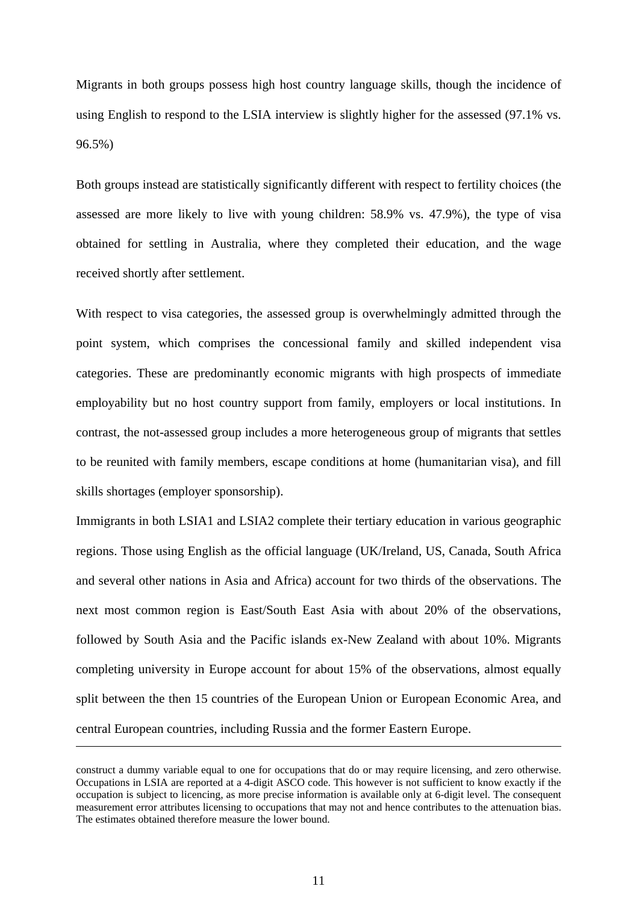Migrants in both groups possess high host country language skills, though the incidence of using English to respond to the LSIA interview is slightly higher for the assessed (97.1% vs. 96.5%)

Both groups instead are statistically significantly different with respect to fertility choices (the assessed are more likely to live with young children: 58.9% vs. 47.9%), the type of visa obtained for settling in Australia, where they completed their education, and the wage received shortly after settlement.

With respect to visa categories, the assessed group is overwhelmingly admitted through the point system, which comprises the concessional family and skilled independent visa categories. These are predominantly economic migrants with high prospects of immediate employability but no host country support from family, employers or local institutions. In contrast, the not-assessed group includes a more heterogeneous group of migrants that settles to be reunited with family members, escape conditions at home (humanitarian visa), and fill skills shortages (employer sponsorship).

Immigrants in both LSIA1 and LSIA2 complete their tertiary education in various geographic regions. Those using English as the official language (UK/Ireland, US, Canada, South Africa and several other nations in Asia and Africa) account for two thirds of the observations. The next most common region is East/South East Asia with about 20% of the observations, followed by South Asia and the Pacific islands ex-New Zealand with about 10%. Migrants completing university in Europe account for about 15% of the observations, almost equally split between the then 15 countries of the European Union or European Economic Area, and central European countries, including Russia and the former Eastern Europe.

construct a dummy variable equal to one for occupations that do or may require licensing, and zero otherwise. Occupations in LSIA are reported at a 4-digit ASCO code. This however is not sufficient to know exactly if the occupation is subject to licencing, as more precise information is available only at 6-digit level. The consequent measurement error attributes licensing to occupations that may not and hence contributes to the attenuation bias. The estimates obtained therefore measure the lower bound.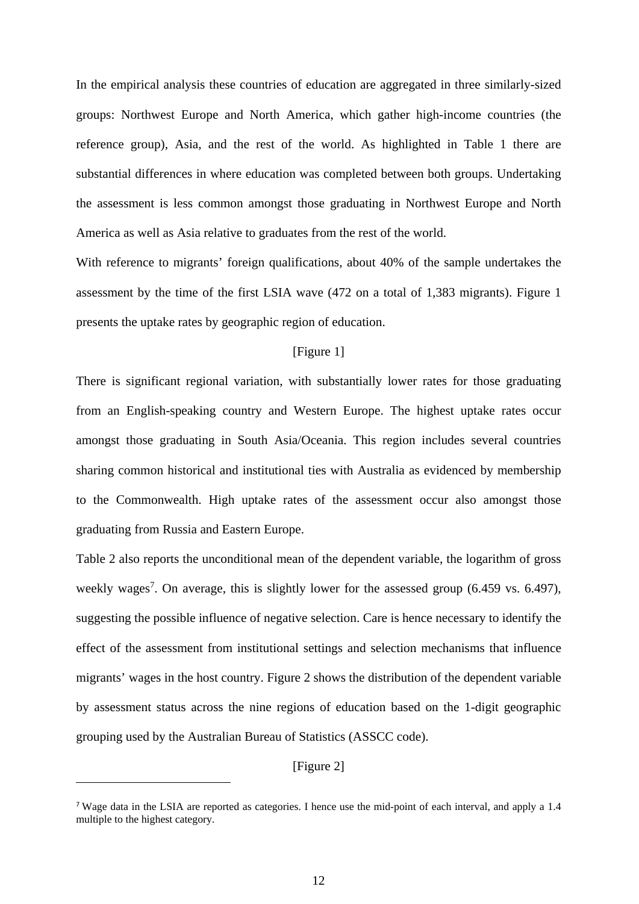In the empirical analysis these countries of education are aggregated in three similarly-sized groups: Northwest Europe and North America, which gather high-income countries (the reference group), Asia, and the rest of the world. As highlighted in Table 1 there are substantial differences in where education was completed between both groups. Undertaking the assessment is less common amongst those graduating in Northwest Europe and North America as well as Asia relative to graduates from the rest of the world.

With reference to migrants' foreign qualifications, about 40% of the sample undertakes the assessment by the time of the first LSIA wave (472 on a total of 1,383 migrants). Figure 1 presents the uptake rates by geographic region of education.

#### [Figure 1]

There is significant regional variation, with substantially lower rates for those graduating from an English-speaking country and Western Europe. The highest uptake rates occur amongst those graduating in South Asia/Oceania. This region includes several countries sharing common historical and institutional ties with Australia as evidenced by membership to the Commonwealth. High uptake rates of the assessment occur also amongst those graduating from Russia and Eastern Europe.

Table 2 also reports the unconditional mean of the dependent variable, the logarithm of gross weekly wages<sup>7</sup>. On average, this is slightly lower for the assessed group  $(6.459 \text{ vs. } 6.497)$ , suggesting the possible influence of negative selection. Care is hence necessary to identify the effect of the assessment from institutional settings and selection mechanisms that influence migrants' wages in the host country. Figure 2 shows the distribution of the dependent variable by assessment status across the nine regions of education based on the 1-digit geographic grouping used by the Australian Bureau of Statistics (ASSCC code).

[Figure 2]

1

<sup>7</sup> Wage data in the LSIA are reported as categories. I hence use the mid-point of each interval, and apply a 1.4 multiple to the highest category.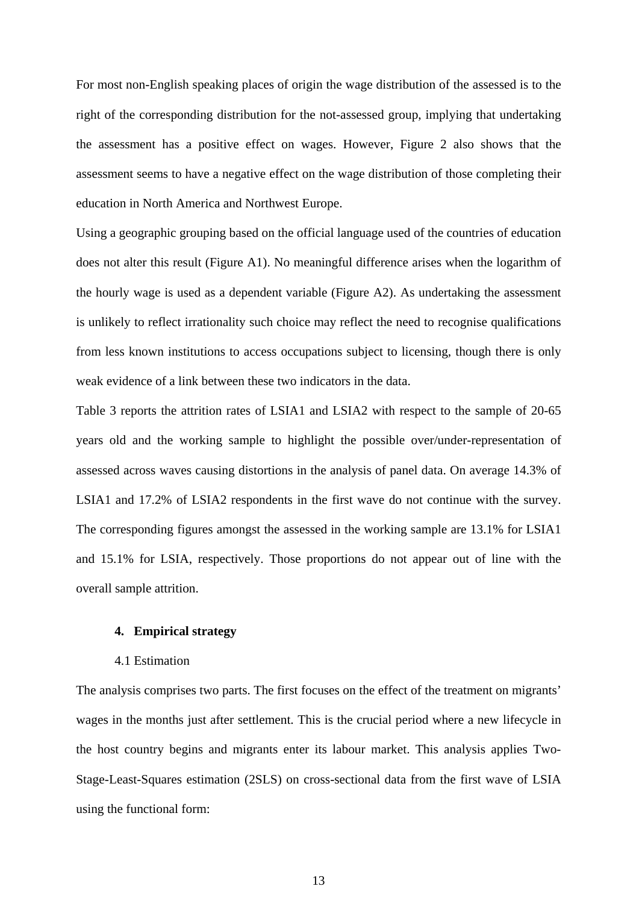For most non-English speaking places of origin the wage distribution of the assessed is to the right of the corresponding distribution for the not-assessed group, implying that undertaking the assessment has a positive effect on wages. However, Figure 2 also shows that the assessment seems to have a negative effect on the wage distribution of those completing their education in North America and Northwest Europe.

Using a geographic grouping based on the official language used of the countries of education does not alter this result (Figure A1). No meaningful difference arises when the logarithm of the hourly wage is used as a dependent variable (Figure A2). As undertaking the assessment is unlikely to reflect irrationality such choice may reflect the need to recognise qualifications from less known institutions to access occupations subject to licensing, though there is only weak evidence of a link between these two indicators in the data.

Table 3 reports the attrition rates of LSIA1 and LSIA2 with respect to the sample of 20-65 years old and the working sample to highlight the possible over/under-representation of assessed across waves causing distortions in the analysis of panel data. On average 14.3% of LSIA1 and 17.2% of LSIA2 respondents in the first wave do not continue with the survey. The corresponding figures amongst the assessed in the working sample are 13.1% for LSIA1 and 15.1% for LSIA, respectively. Those proportions do not appear out of line with the overall sample attrition.

#### **4. Empirical strategy**

#### 4.1 Estimation

The analysis comprises two parts. The first focuses on the effect of the treatment on migrants' wages in the months just after settlement. This is the crucial period where a new lifecycle in the host country begins and migrants enter its labour market. This analysis applies Two-Stage-Least-Squares estimation (2SLS) on cross-sectional data from the first wave of LSIA using the functional form: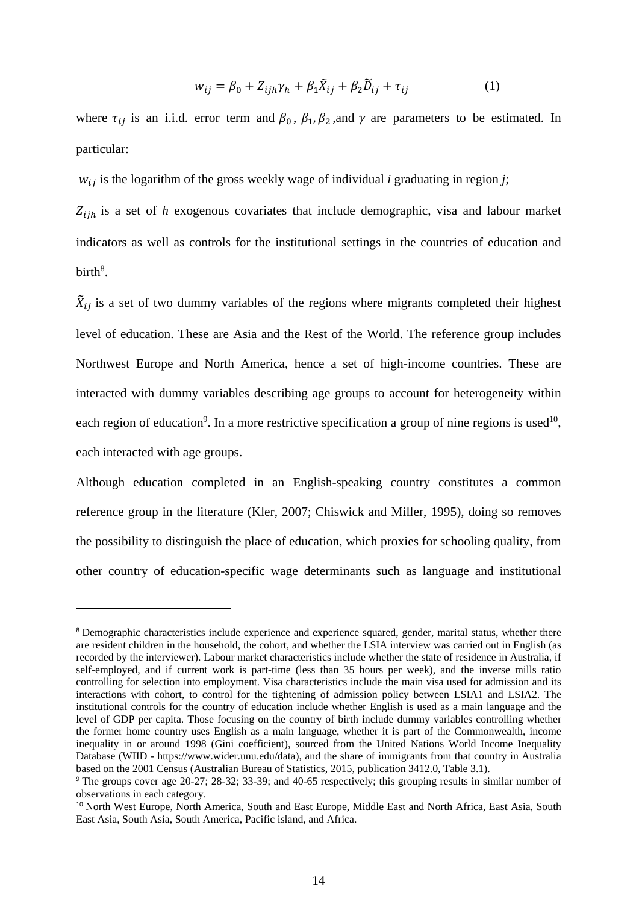$$
w_{ij} = \beta_0 + Z_{ijh}\gamma_h + \beta_1 \tilde{X}_{ij} + \beta_2 \tilde{D}_{ij} + \tau_{ij}
$$
 (1)

where  $\tau_{ii}$  is an i.i.d. error term and  $\beta_0$ ,  $\beta_1$ ,  $\beta_2$ , and  $\gamma$  are parameters to be estimated. In particular:

 $w_{ij}$  is the logarithm of the gross weekly wage of individual *i* graduating in region *j*;

 $Z_{i j h}$  is a set of *h* exogenous covariates that include demographic, visa and labour market indicators as well as controls for the institutional settings in the countries of education and  $birth<sup>8</sup>$ .

 $\tilde{X}_{ij}$  is a set of two dummy variables of the regions where migrants completed their highest level of education. These are Asia and the Rest of the World. The reference group includes Northwest Europe and North America, hence a set of high-income countries. These are interacted with dummy variables describing age groups to account for heterogeneity within each region of education<sup>9</sup>. In a more restrictive specification a group of nine regions is used<sup>10</sup>, each interacted with age groups.

Although education completed in an English-speaking country constitutes a common reference group in the literature (Kler, 2007; Chiswick and Miller, 1995), doing so removes the possibility to distinguish the place of education, which proxies for schooling quality, from other country of education-specific wage determinants such as language and institutional

<sup>&</sup>lt;sup>8</sup> Demographic characteristics include experience and experience squared, gender, marital status, whether there are resident children in the household, the cohort, and whether the LSIA interview was carried out in English (as recorded by the interviewer). Labour market characteristics include whether the state of residence in Australia, if self-employed, and if current work is part-time (less than 35 hours per week), and the inverse mills ratio controlling for selection into employment. Visa characteristics include the main visa used for admission and its interactions with cohort, to control for the tightening of admission policy between LSIA1 and LSIA2. The institutional controls for the country of education include whether English is used as a main language and the level of GDP per capita. Those focusing on the country of birth include dummy variables controlling whether the former home country uses English as a main language, whether it is part of the Commonwealth, income inequality in or around 1998 (Gini coefficient), sourced from the United Nations World Income Inequality Database (WIID - https://www.wider.unu.edu/data), and the share of immigrants from that country in Australia based on the 2001 Census (Australian Bureau of Statistics, 2015, publication 3412.0, Table 3.1).

<sup>&</sup>lt;sup>9</sup> The groups cover age 20-27; 28-32; 33-39; and 40-65 respectively; this grouping results in similar number of observations in each category.

<sup>&</sup>lt;sup>10</sup> North West Europe, North America, South and East Europe, Middle East and North Africa, East Asia, South East Asia, South Asia, South America, Pacific island, and Africa.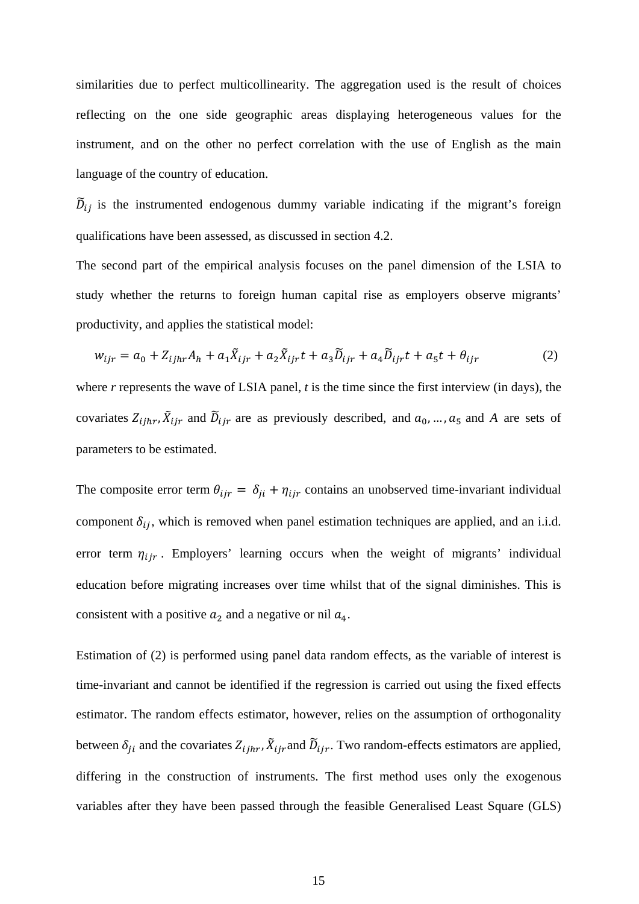similarities due to perfect multicollinearity. The aggregation used is the result of choices reflecting on the one side geographic areas displaying heterogeneous values for the instrument, and on the other no perfect correlation with the use of English as the main language of the country of education.

 $\tilde{D}_{ij}$  is the instrumented endogenous dummy variable indicating if the migrant's foreign qualifications have been assessed, as discussed in section 4.2.

The second part of the empirical analysis focuses on the panel dimension of the LSIA to study whether the returns to foreign human capital rise as employers observe migrants' productivity, and applies the statistical model:

$$
w_{ijr} = a_0 + Z_{ijhr}A_h + a_1\tilde{X}_{ijr} + a_2\tilde{X}_{ijr}t + a_3\tilde{D}_{ijr} + a_4\tilde{D}_{ijr}t + a_5t + \theta_{ijr}
$$
 (2)

where *r* represents the wave of LSIA panel, *t* is the time since the first interview (in days), the covariates  $Z_{ijhr}$ ,  $\tilde{X}_{ijr}$  and  $\tilde{D}_{ijr}$  are as previously described, and  $a_0$ , ...,  $a_5$  and A are sets of parameters to be estimated.

The composite error term  $\theta_{ijr} = \delta_{ji} + \eta_{ijr}$  contains an unobserved time-invariant individual component  $\delta_{ij}$ , which is removed when panel estimation techniques are applied, and an i.i.d. error term  $\eta_{ijr}$ . Employers' learning occurs when the weight of migrants' individual education before migrating increases over time whilst that of the signal diminishes. This is consistent with a positive  $a_2$  and a negative or nil  $a_4$ .

Estimation of (2) is performed using panel data random effects, as the variable of interest is time-invariant and cannot be identified if the regression is carried out using the fixed effects estimator. The random effects estimator, however, relies on the assumption of orthogonality between  $\delta_{ji}$  and the covariates  $Z_{ijhr}$ ,  $\tilde{X}_{ijr}$  and  $\tilde{D}_{ijr}$ . Two random-effects estimators are applied, differing in the construction of instruments. The first method uses only the exogenous variables after they have been passed through the feasible Generalised Least Square (GLS)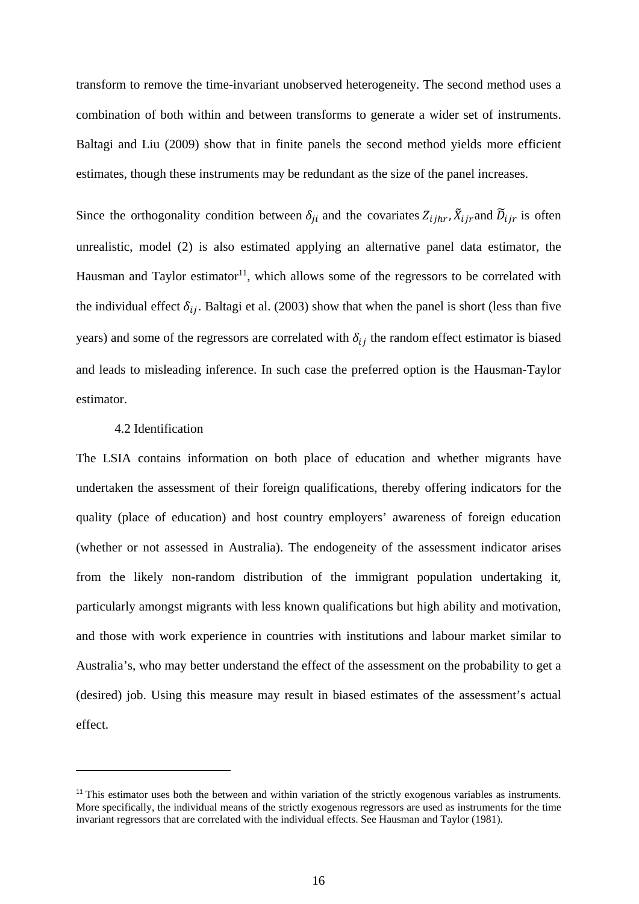transform to remove the time-invariant unobserved heterogeneity. The second method uses a combination of both within and between transforms to generate a wider set of instruments. Baltagi and Liu (2009) show that in finite panels the second method yields more efficient estimates, though these instruments may be redundant as the size of the panel increases.

Since the orthogonality condition between  $\delta_{ji}$  and the covariates  $Z_{ijhr}$ ,  $\tilde{X}_{ijr}$  and  $\tilde{D}_{ijr}$  is often unrealistic, model (2) is also estimated applying an alternative panel data estimator, the Hausman and Taylor estimator<sup>11</sup>, which allows some of the regressors to be correlated with the individual effect  $\delta_{ij}$ . Baltagi et al. (2003) show that when the panel is short (less than five years) and some of the regressors are correlated with  $\delta_{ij}$  the random effect estimator is biased and leads to misleading inference. In such case the preferred option is the Hausman-Taylor estimator.

#### 4.2 Identification

-

The LSIA contains information on both place of education and whether migrants have undertaken the assessment of their foreign qualifications, thereby offering indicators for the quality (place of education) and host country employers' awareness of foreign education (whether or not assessed in Australia). The endogeneity of the assessment indicator arises from the likely non-random distribution of the immigrant population undertaking it, particularly amongst migrants with less known qualifications but high ability and motivation, and those with work experience in countries with institutions and labour market similar to Australia's, who may better understand the effect of the assessment on the probability to get a (desired) job. Using this measure may result in biased estimates of the assessment's actual effect.

<sup>&</sup>lt;sup>11</sup> This estimator uses both the between and within variation of the strictly exogenous variables as instruments. More specifically, the individual means of the strictly exogenous regressors are used as instruments for the time invariant regressors that are correlated with the individual effects. See Hausman and Taylor (1981).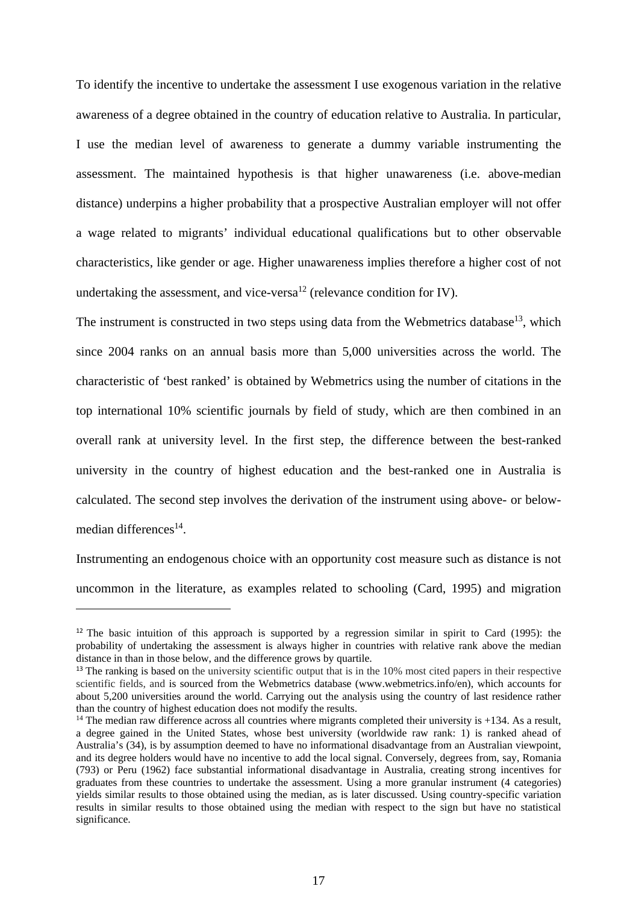To identify the incentive to undertake the assessment I use exogenous variation in the relative awareness of a degree obtained in the country of education relative to Australia. In particular, I use the median level of awareness to generate a dummy variable instrumenting the assessment. The maintained hypothesis is that higher unawareness (i.e. above-median distance) underpins a higher probability that a prospective Australian employer will not offer a wage related to migrants' individual educational qualifications but to other observable characteristics, like gender or age. Higher unawareness implies therefore a higher cost of not undertaking the assessment, and vice-versa<sup>12</sup> (relevance condition for IV).

The instrument is constructed in two steps using data from the Webmetrics database<sup>13</sup>, which since 2004 ranks on an annual basis more than 5,000 universities across the world. The characteristic of 'best ranked' is obtained by Webmetrics using the number of citations in the top international 10% scientific journals by field of study, which are then combined in an overall rank at university level. In the first step, the difference between the best-ranked university in the country of highest education and the best-ranked one in Australia is calculated. The second step involves the derivation of the instrument using above- or belowmedian differences<sup>14</sup>.

Instrumenting an endogenous choice with an opportunity cost measure such as distance is not uncommon in the literature, as examples related to schooling (Card, 1995) and migration

<sup>&</sup>lt;sup>12</sup> The basic intuition of this approach is supported by a regression similar in spirit to Card (1995): the probability of undertaking the assessment is always higher in countries with relative rank above the median distance in than in those below, and the difference grows by quartile.

<sup>&</sup>lt;sup>13</sup> The ranking is based on the university scientific output that is in the 10% most cited papers in their respective scientific fields, and is sourced from the Webmetrics database (www.webmetrics.info/en), which accounts for about 5,200 universities around the world. Carrying out the analysis using the country of last residence rather than the country of highest education does not modify the results.

 $14$  The median raw difference across all countries where migrants completed their university is  $+134$ . As a result, a degree gained in the United States, whose best university (worldwide raw rank: 1) is ranked ahead of Australia's (34), is by assumption deemed to have no informational disadvantage from an Australian viewpoint, and its degree holders would have no incentive to add the local signal. Conversely, degrees from, say, Romania (793) or Peru (1962) face substantial informational disadvantage in Australia, creating strong incentives for graduates from these countries to undertake the assessment. Using a more granular instrument (4 categories) yields similar results to those obtained using the median, as is later discussed. Using country-specific variation results in similar results to those obtained using the median with respect to the sign but have no statistical significance.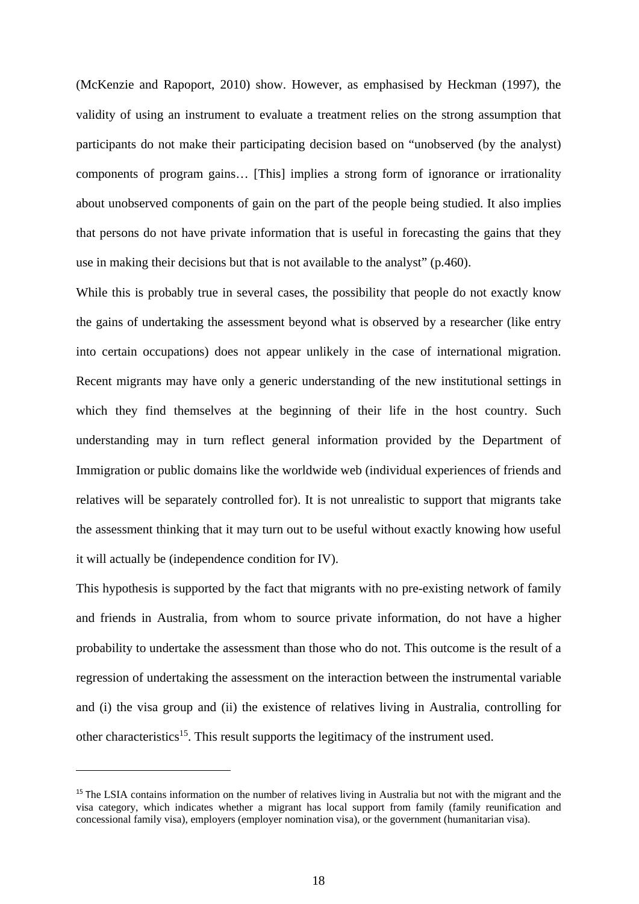(McKenzie and Rapoport, 2010) show. However, as emphasised by Heckman (1997), the validity of using an instrument to evaluate a treatment relies on the strong assumption that participants do not make their participating decision based on "unobserved (by the analyst) components of program gains… [This] implies a strong form of ignorance or irrationality about unobserved components of gain on the part of the people being studied. It also implies that persons do not have private information that is useful in forecasting the gains that they use in making their decisions but that is not available to the analyst" (p.460).

While this is probably true in several cases, the possibility that people do not exactly know the gains of undertaking the assessment beyond what is observed by a researcher (like entry into certain occupations) does not appear unlikely in the case of international migration. Recent migrants may have only a generic understanding of the new institutional settings in which they find themselves at the beginning of their life in the host country. Such understanding may in turn reflect general information provided by the Department of Immigration or public domains like the worldwide web (individual experiences of friends and relatives will be separately controlled for). It is not unrealistic to support that migrants take the assessment thinking that it may turn out to be useful without exactly knowing how useful it will actually be (independence condition for IV).

This hypothesis is supported by the fact that migrants with no pre-existing network of family and friends in Australia, from whom to source private information, do not have a higher probability to undertake the assessment than those who do not. This outcome is the result of a regression of undertaking the assessment on the interaction between the instrumental variable and (i) the visa group and (ii) the existence of relatives living in Australia, controlling for other characteristics<sup>15</sup>. This result supports the legitimacy of the instrument used.

<sup>&</sup>lt;sup>15</sup> The LSIA contains information on the number of relatives living in Australia but not with the migrant and the visa category, which indicates whether a migrant has local support from family (family reunification and concessional family visa), employers (employer nomination visa), or the government (humanitarian visa).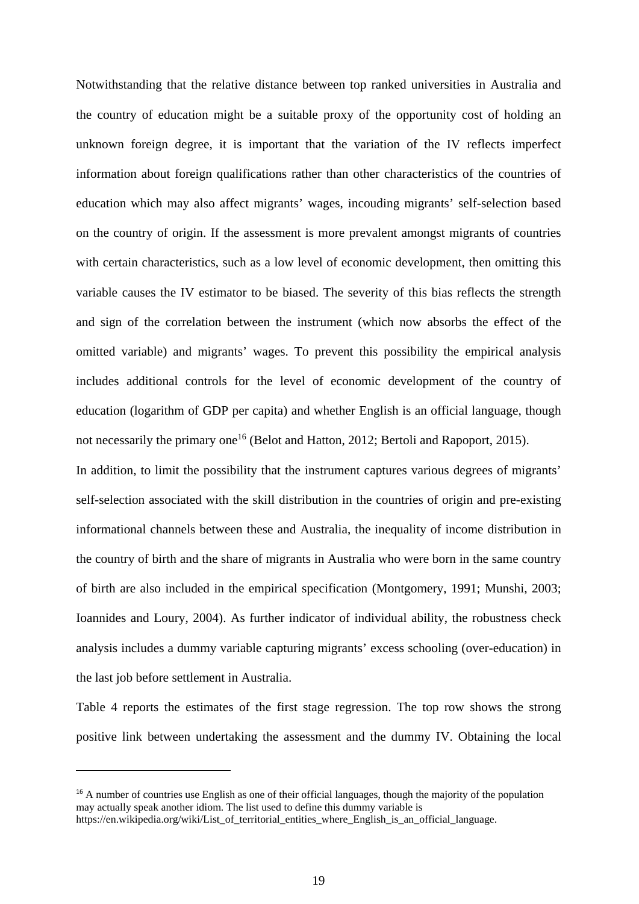Notwithstanding that the relative distance between top ranked universities in Australia and the country of education might be a suitable proxy of the opportunity cost of holding an unknown foreign degree, it is important that the variation of the IV reflects imperfect information about foreign qualifications rather than other characteristics of the countries of education which may also affect migrants' wages, incouding migrants' self-selection based on the country of origin. If the assessment is more prevalent amongst migrants of countries with certain characteristics, such as a low level of economic development, then omitting this variable causes the IV estimator to be biased. The severity of this bias reflects the strength and sign of the correlation between the instrument (which now absorbs the effect of the omitted variable) and migrants' wages. To prevent this possibility the empirical analysis includes additional controls for the level of economic development of the country of education (logarithm of GDP per capita) and whether English is an official language, though not necessarily the primary one<sup>16</sup> (Belot and Hatton, 2012; Bertoli and Rapoport, 2015).

In addition, to limit the possibility that the instrument captures various degrees of migrants' self-selection associated with the skill distribution in the countries of origin and pre-existing informational channels between these and Australia, the inequality of income distribution in the country of birth and the share of migrants in Australia who were born in the same country of birth are also included in the empirical specification (Montgomery, 1991; Munshi, 2003; Ioannides and Loury, 2004). As further indicator of individual ability, the robustness check analysis includes a dummy variable capturing migrants' excess schooling (over-education) in the last job before settlement in Australia.

Table 4 reports the estimates of the first stage regression. The top row shows the strong positive link between undertaking the assessment and the dummy IV. Obtaining the local

<sup>&</sup>lt;sup>16</sup> A number of countries use English as one of their official languages, though the majority of the population may actually speak another idiom. The list used to define this dummy variable is https://en.wikipedia.org/wiki/List of territorial entities where English is an official language.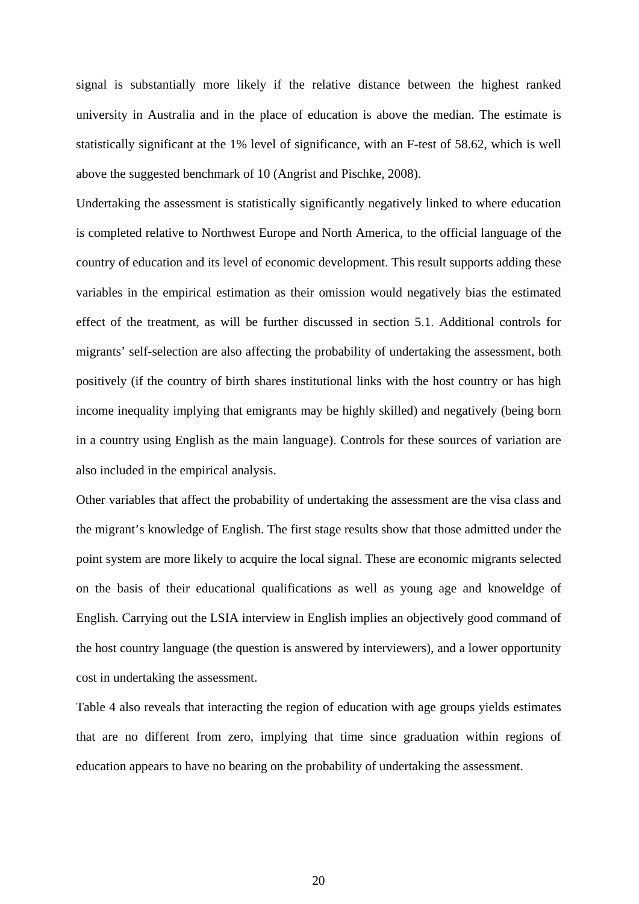signal is substantially more likely if the relative distance between the highest ranked university in Australia and in the place of education is above the median. The estimate is statistically significant at the 1% level of significance, with an F-test of 58.62, which is well above the suggested benchmark of 10 (Angrist and Pischke, 2008).

Undertaking the assessment is statistically significantly negatively linked to where education is completed relative to Northwest Europe and North America, to the official language of the country of education and its level of economic development. This result supports adding these variables in the empirical estimation as their omission would negatively bias the estimated effect of the treatment, as will be further discussed in section 5.1. Additional controls for migrants' self-selection are also affecting the probability of undertaking the assessment, both positively (if the country of birth shares institutional links with the host country or has high income inequality implying that emigrants may be highly skilled) and negatively (being born in a country using English as the main language). Controls for these sources of variation are also included in the empirical analysis.

Other variables that affect the probability of undertaking the assessment are the visa class and the migrant's knowledge of English. The first stage results show that those admitted under the point system are more likely to acquire the local signal. These are economic migrants selected on the basis of their educational qualifications as well as young age and knoweldge of English. Carrying out the LSIA interview in English implies an objectively good command of the host country language (the question is answered by interviewers), and a lower opportunity cost in undertaking the assessment.

Table 4 also reveals that interacting the region of education with age groups yields estimates that are no different from zero, implying that time since graduation within regions of education appears to have no bearing on the probability of undertaking the assessment.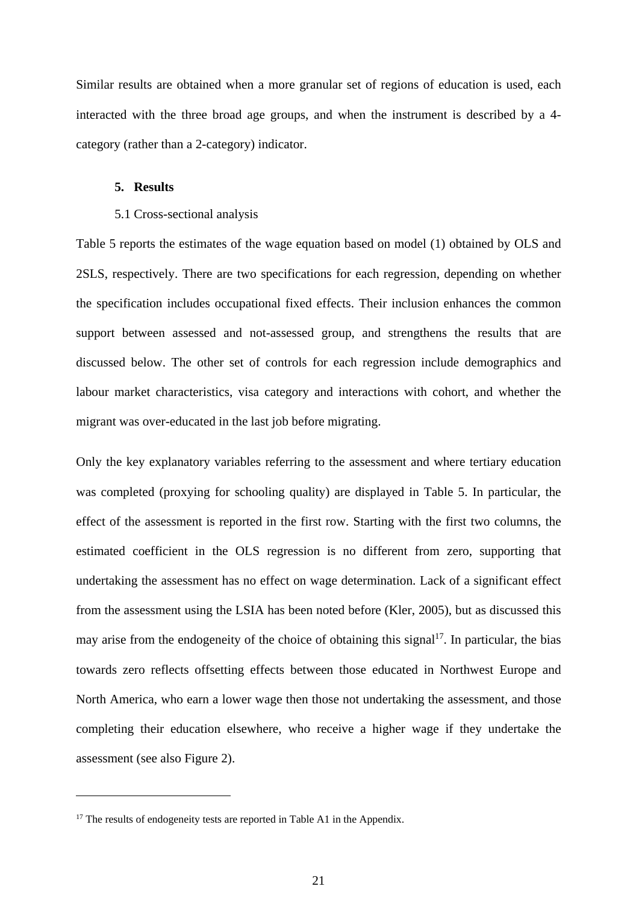Similar results are obtained when a more granular set of regions of education is used, each interacted with the three broad age groups, and when the instrument is described by a 4 category (rather than a 2-category) indicator.

#### **5. Results**

#### 5.1 Cross-sectional analysis

Table 5 reports the estimates of the wage equation based on model (1) obtained by OLS and 2SLS, respectively. There are two specifications for each regression, depending on whether the specification includes occupational fixed effects. Their inclusion enhances the common support between assessed and not-assessed group, and strengthens the results that are discussed below. The other set of controls for each regression include demographics and labour market characteristics, visa category and interactions with cohort, and whether the migrant was over-educated in the last job before migrating.

Only the key explanatory variables referring to the assessment and where tertiary education was completed (proxying for schooling quality) are displayed in Table 5. In particular, the effect of the assessment is reported in the first row. Starting with the first two columns, the estimated coefficient in the OLS regression is no different from zero, supporting that undertaking the assessment has no effect on wage determination. Lack of a significant effect from the assessment using the LSIA has been noted before (Kler, 2005), but as discussed this may arise from the endogeneity of the choice of obtaining this signal<sup>17</sup>. In particular, the bias towards zero reflects offsetting effects between those educated in Northwest Europe and North America, who earn a lower wage then those not undertaking the assessment, and those completing their education elsewhere, who receive a higher wage if they undertake the assessment (see also Figure 2).

<sup>&</sup>lt;sup>17</sup> The results of endogeneity tests are reported in Table A1 in the Appendix.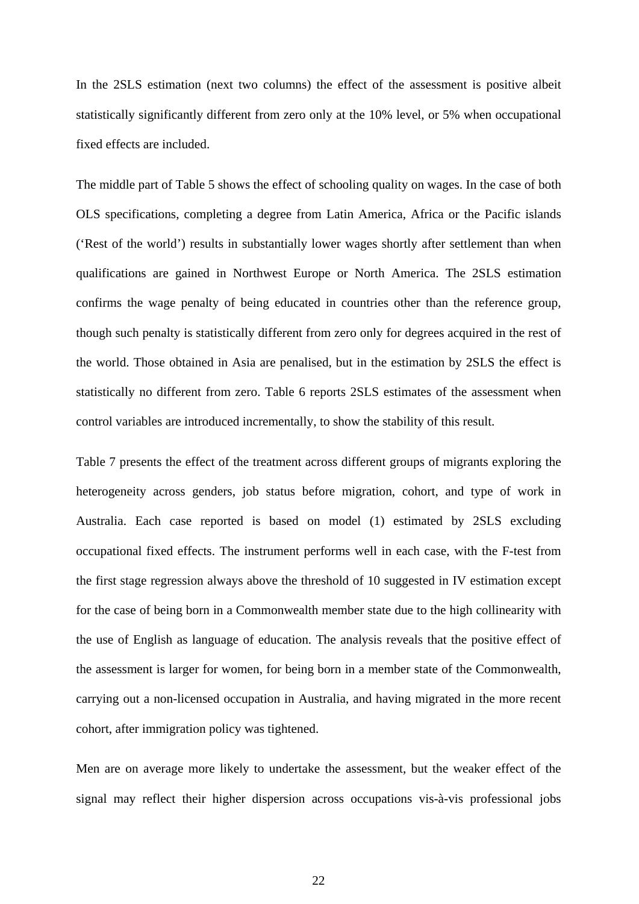In the 2SLS estimation (next two columns) the effect of the assessment is positive albeit statistically significantly different from zero only at the 10% level, or 5% when occupational fixed effects are included.

The middle part of Table 5 shows the effect of schooling quality on wages. In the case of both OLS specifications, completing a degree from Latin America, Africa or the Pacific islands ('Rest of the world') results in substantially lower wages shortly after settlement than when qualifications are gained in Northwest Europe or North America. The 2SLS estimation confirms the wage penalty of being educated in countries other than the reference group, though such penalty is statistically different from zero only for degrees acquired in the rest of the world. Those obtained in Asia are penalised, but in the estimation by 2SLS the effect is statistically no different from zero. Table 6 reports 2SLS estimates of the assessment when control variables are introduced incrementally, to show the stability of this result.

Table 7 presents the effect of the treatment across different groups of migrants exploring the heterogeneity across genders, job status before migration, cohort, and type of work in Australia. Each case reported is based on model (1) estimated by 2SLS excluding occupational fixed effects. The instrument performs well in each case, with the F-test from the first stage regression always above the threshold of 10 suggested in IV estimation except for the case of being born in a Commonwealth member state due to the high collinearity with the use of English as language of education. The analysis reveals that the positive effect of the assessment is larger for women, for being born in a member state of the Commonwealth, carrying out a non-licensed occupation in Australia, and having migrated in the more recent cohort, after immigration policy was tightened.

Men are on average more likely to undertake the assessment, but the weaker effect of the signal may reflect their higher dispersion across occupations vis-à-vis professional jobs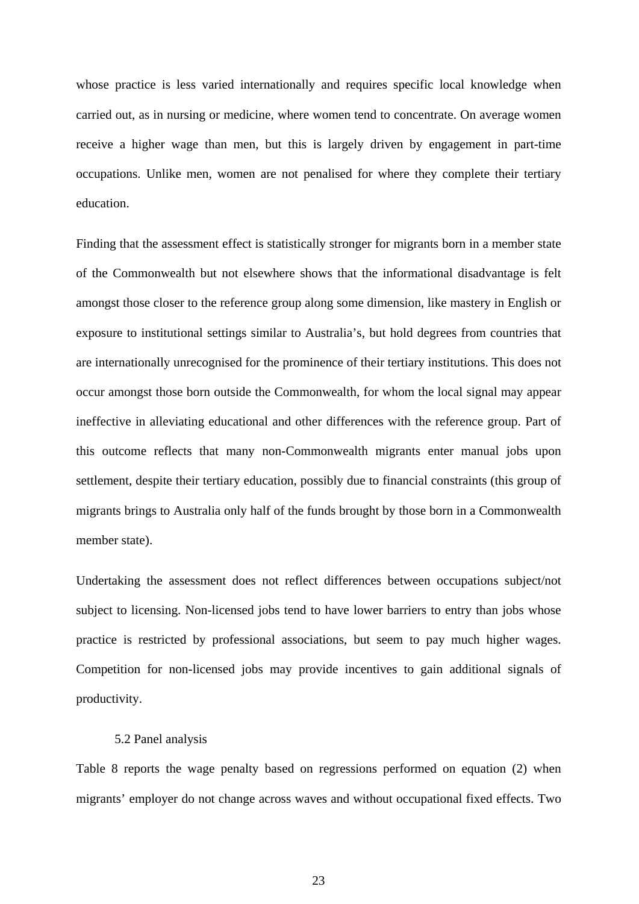whose practice is less varied internationally and requires specific local knowledge when carried out, as in nursing or medicine, where women tend to concentrate. On average women receive a higher wage than men, but this is largely driven by engagement in part-time occupations. Unlike men, women are not penalised for where they complete their tertiary education.

Finding that the assessment effect is statistically stronger for migrants born in a member state of the Commonwealth but not elsewhere shows that the informational disadvantage is felt amongst those closer to the reference group along some dimension, like mastery in English or exposure to institutional settings similar to Australia's, but hold degrees from countries that are internationally unrecognised for the prominence of their tertiary institutions. This does not occur amongst those born outside the Commonwealth, for whom the local signal may appear ineffective in alleviating educational and other differences with the reference group. Part of this outcome reflects that many non-Commonwealth migrants enter manual jobs upon settlement, despite their tertiary education, possibly due to financial constraints (this group of migrants brings to Australia only half of the funds brought by those born in a Commonwealth member state).

Undertaking the assessment does not reflect differences between occupations subject/not subject to licensing. Non-licensed jobs tend to have lower barriers to entry than jobs whose practice is restricted by professional associations, but seem to pay much higher wages. Competition for non-licensed jobs may provide incentives to gain additional signals of productivity.

#### 5.2 Panel analysis

Table 8 reports the wage penalty based on regressions performed on equation (2) when migrants' employer do not change across waves and without occupational fixed effects. Two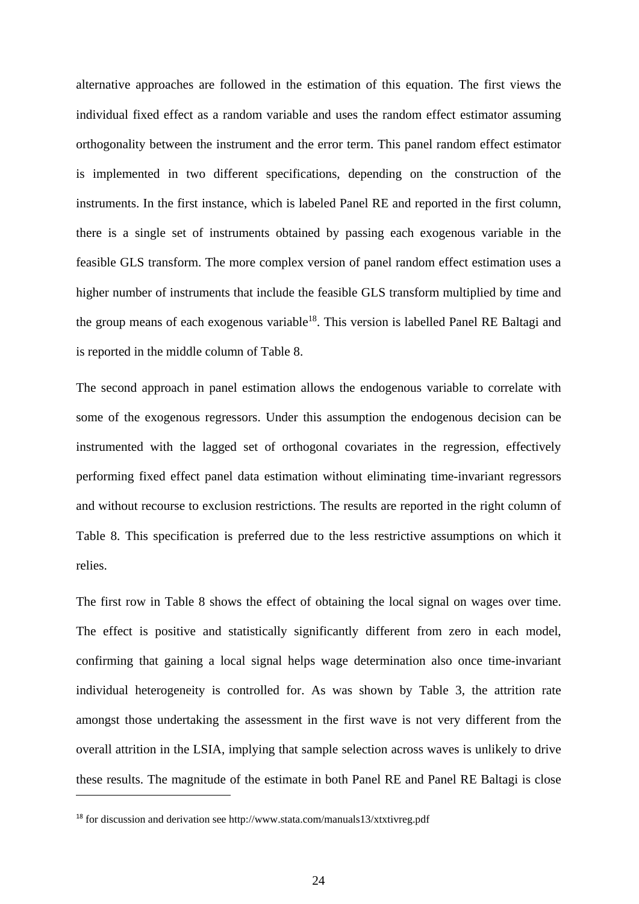alternative approaches are followed in the estimation of this equation. The first views the individual fixed effect as a random variable and uses the random effect estimator assuming orthogonality between the instrument and the error term. This panel random effect estimator is implemented in two different specifications, depending on the construction of the instruments. In the first instance, which is labeled Panel RE and reported in the first column, there is a single set of instruments obtained by passing each exogenous variable in the feasible GLS transform. The more complex version of panel random effect estimation uses a higher number of instruments that include the feasible GLS transform multiplied by time and the group means of each exogenous variable<sup>18</sup>. This version is labelled Panel RE Baltagi and is reported in the middle column of Table 8.

The second approach in panel estimation allows the endogenous variable to correlate with some of the exogenous regressors. Under this assumption the endogenous decision can be instrumented with the lagged set of orthogonal covariates in the regression, effectively performing fixed effect panel data estimation without eliminating time-invariant regressors and without recourse to exclusion restrictions. The results are reported in the right column of Table 8. This specification is preferred due to the less restrictive assumptions on which it relies.

The first row in Table 8 shows the effect of obtaining the local signal on wages over time. The effect is positive and statistically significantly different from zero in each model, confirming that gaining a local signal helps wage determination also once time-invariant individual heterogeneity is controlled for. As was shown by Table 3, the attrition rate amongst those undertaking the assessment in the first wave is not very different from the overall attrition in the LSIA, implying that sample selection across waves is unlikely to drive these results. The magnitude of the estimate in both Panel RE and Panel RE Baltagi is close

<sup>18</sup> for discussion and derivation see http://www.stata.com/manuals13/xtxtivreg.pdf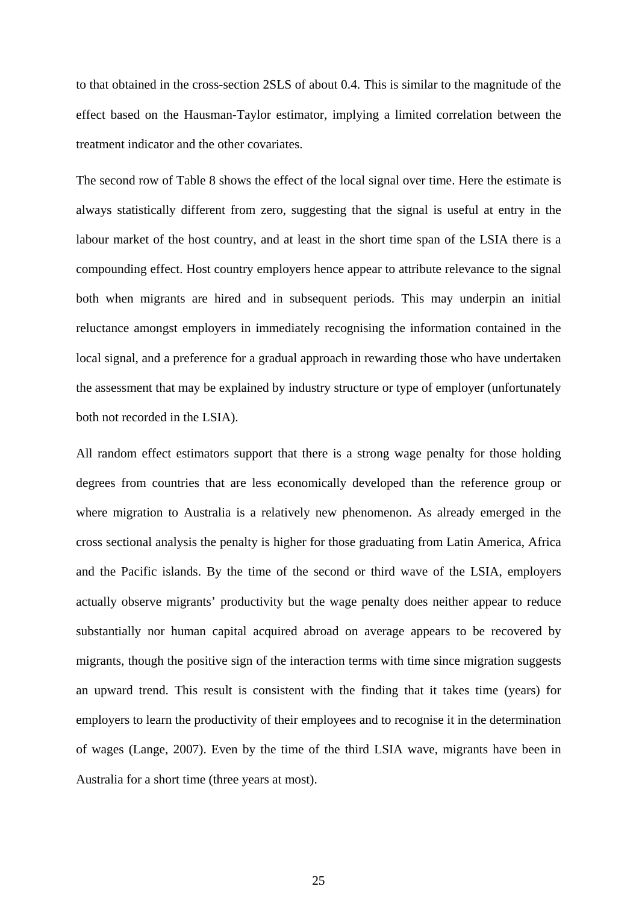to that obtained in the cross-section 2SLS of about 0.4. This is similar to the magnitude of the effect based on the Hausman-Taylor estimator, implying a limited correlation between the treatment indicator and the other covariates.

The second row of Table 8 shows the effect of the local signal over time. Here the estimate is always statistically different from zero, suggesting that the signal is useful at entry in the labour market of the host country, and at least in the short time span of the LSIA there is a compounding effect. Host country employers hence appear to attribute relevance to the signal both when migrants are hired and in subsequent periods. This may underpin an initial reluctance amongst employers in immediately recognising the information contained in the local signal, and a preference for a gradual approach in rewarding those who have undertaken the assessment that may be explained by industry structure or type of employer (unfortunately both not recorded in the LSIA).

All random effect estimators support that there is a strong wage penalty for those holding degrees from countries that are less economically developed than the reference group or where migration to Australia is a relatively new phenomenon. As already emerged in the cross sectional analysis the penalty is higher for those graduating from Latin America, Africa and the Pacific islands. By the time of the second or third wave of the LSIA, employers actually observe migrants' productivity but the wage penalty does neither appear to reduce substantially nor human capital acquired abroad on average appears to be recovered by migrants, though the positive sign of the interaction terms with time since migration suggests an upward trend. This result is consistent with the finding that it takes time (years) for employers to learn the productivity of their employees and to recognise it in the determination of wages (Lange, 2007). Even by the time of the third LSIA wave, migrants have been in Australia for a short time (three years at most).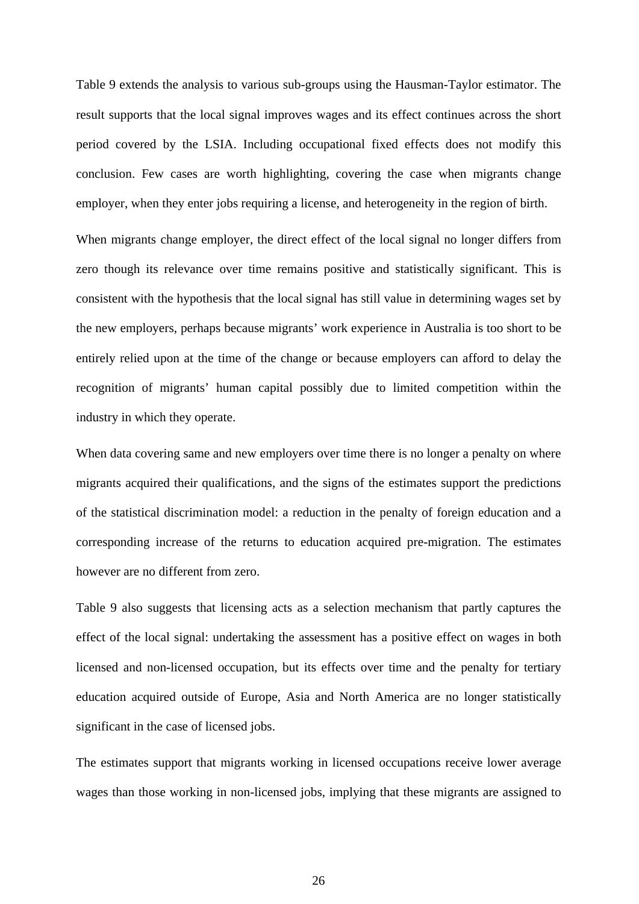Table 9 extends the analysis to various sub-groups using the Hausman-Taylor estimator. The result supports that the local signal improves wages and its effect continues across the short period covered by the LSIA. Including occupational fixed effects does not modify this conclusion. Few cases are worth highlighting, covering the case when migrants change employer, when they enter jobs requiring a license, and heterogeneity in the region of birth.

When migrants change employer, the direct effect of the local signal no longer differs from zero though its relevance over time remains positive and statistically significant. This is consistent with the hypothesis that the local signal has still value in determining wages set by the new employers, perhaps because migrants' work experience in Australia is too short to be entirely relied upon at the time of the change or because employers can afford to delay the recognition of migrants' human capital possibly due to limited competition within the industry in which they operate.

When data covering same and new employers over time there is no longer a penalty on where migrants acquired their qualifications, and the signs of the estimates support the predictions of the statistical discrimination model: a reduction in the penalty of foreign education and a corresponding increase of the returns to education acquired pre-migration. The estimates however are no different from zero.

Table 9 also suggests that licensing acts as a selection mechanism that partly captures the effect of the local signal: undertaking the assessment has a positive effect on wages in both licensed and non-licensed occupation, but its effects over time and the penalty for tertiary education acquired outside of Europe, Asia and North America are no longer statistically significant in the case of licensed jobs.

The estimates support that migrants working in licensed occupations receive lower average wages than those working in non-licensed jobs, implying that these migrants are assigned to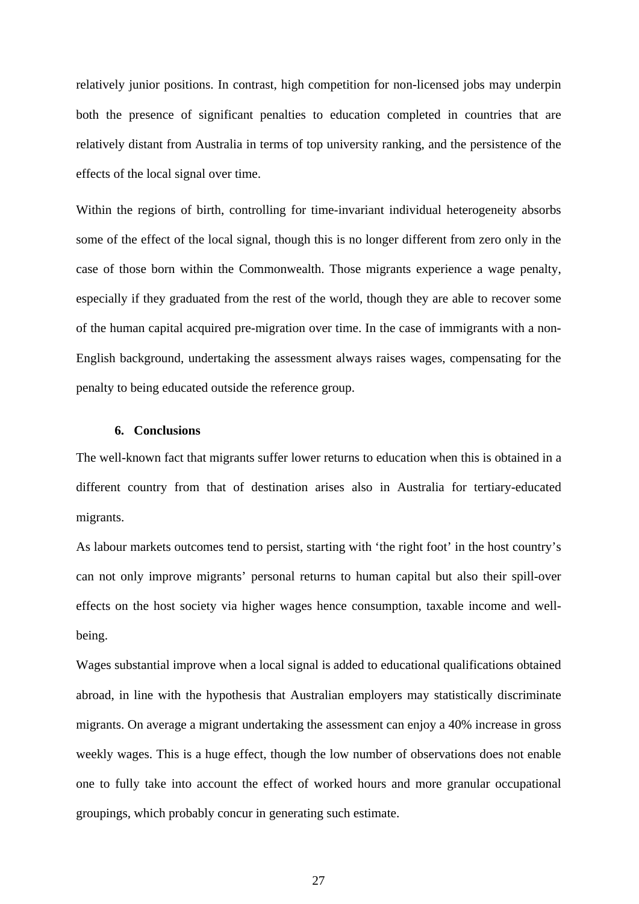relatively junior positions. In contrast, high competition for non-licensed jobs may underpin both the presence of significant penalties to education completed in countries that are relatively distant from Australia in terms of top university ranking, and the persistence of the effects of the local signal over time.

Within the regions of birth, controlling for time-invariant individual heterogeneity absorbs some of the effect of the local signal, though this is no longer different from zero only in the case of those born within the Commonwealth. Those migrants experience a wage penalty, especially if they graduated from the rest of the world, though they are able to recover some of the human capital acquired pre-migration over time. In the case of immigrants with a non-English background, undertaking the assessment always raises wages, compensating for the penalty to being educated outside the reference group.

#### **6. Conclusions**

The well-known fact that migrants suffer lower returns to education when this is obtained in a different country from that of destination arises also in Australia for tertiary-educated migrants.

As labour markets outcomes tend to persist, starting with 'the right foot' in the host country's can not only improve migrants' personal returns to human capital but also their spill-over effects on the host society via higher wages hence consumption, taxable income and wellbeing.

Wages substantial improve when a local signal is added to educational qualifications obtained abroad, in line with the hypothesis that Australian employers may statistically discriminate migrants. On average a migrant undertaking the assessment can enjoy a 40% increase in gross weekly wages. This is a huge effect, though the low number of observations does not enable one to fully take into account the effect of worked hours and more granular occupational groupings, which probably concur in generating such estimate.

27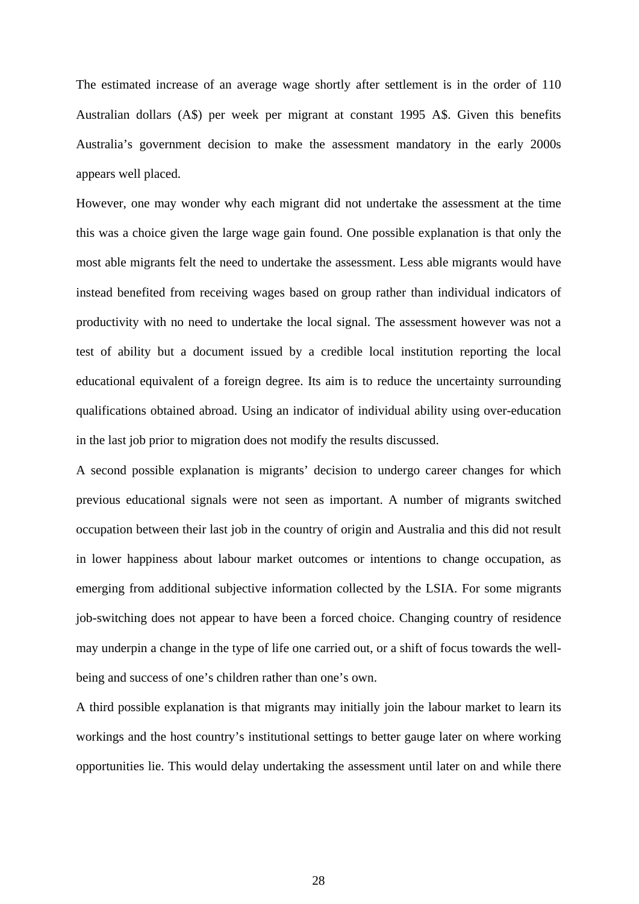The estimated increase of an average wage shortly after settlement is in the order of 110 Australian dollars (A\$) per week per migrant at constant 1995 A\$. Given this benefits Australia's government decision to make the assessment mandatory in the early 2000s appears well placed.

However, one may wonder why each migrant did not undertake the assessment at the time this was a choice given the large wage gain found. One possible explanation is that only the most able migrants felt the need to undertake the assessment. Less able migrants would have instead benefited from receiving wages based on group rather than individual indicators of productivity with no need to undertake the local signal. The assessment however was not a test of ability but a document issued by a credible local institution reporting the local educational equivalent of a foreign degree. Its aim is to reduce the uncertainty surrounding qualifications obtained abroad. Using an indicator of individual ability using over-education in the last job prior to migration does not modify the results discussed.

A second possible explanation is migrants' decision to undergo career changes for which previous educational signals were not seen as important. A number of migrants switched occupation between their last job in the country of origin and Australia and this did not result in lower happiness about labour market outcomes or intentions to change occupation, as emerging from additional subjective information collected by the LSIA. For some migrants job-switching does not appear to have been a forced choice. Changing country of residence may underpin a change in the type of life one carried out, or a shift of focus towards the wellbeing and success of one's children rather than one's own.

A third possible explanation is that migrants may initially join the labour market to learn its workings and the host country's institutional settings to better gauge later on where working opportunities lie. This would delay undertaking the assessment until later on and while there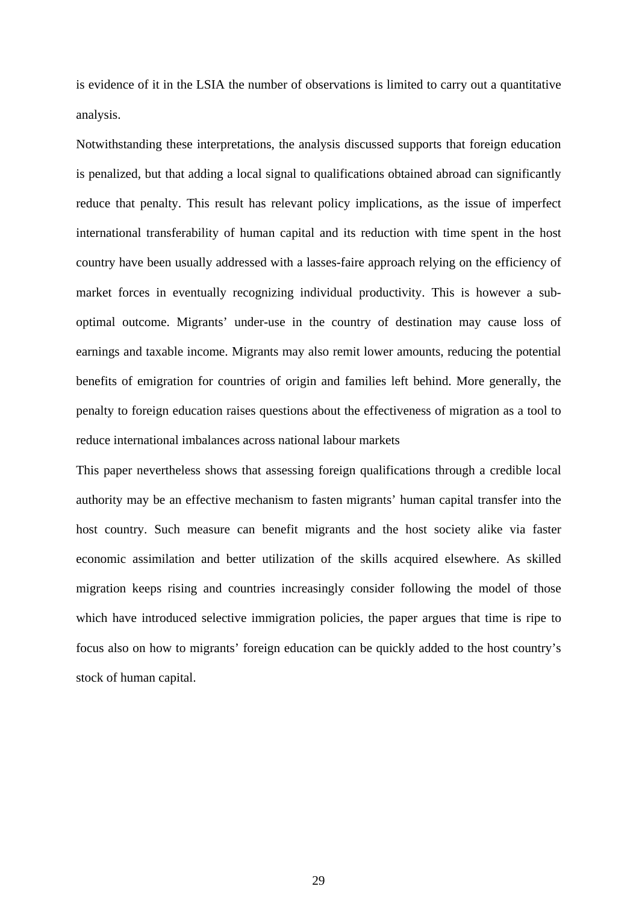is evidence of it in the LSIA the number of observations is limited to carry out a quantitative analysis.

Notwithstanding these interpretations, the analysis discussed supports that foreign education is penalized, but that adding a local signal to qualifications obtained abroad can significantly reduce that penalty. This result has relevant policy implications, as the issue of imperfect international transferability of human capital and its reduction with time spent in the host country have been usually addressed with a lasses-faire approach relying on the efficiency of market forces in eventually recognizing individual productivity. This is however a suboptimal outcome. Migrants' under-use in the country of destination may cause loss of earnings and taxable income. Migrants may also remit lower amounts, reducing the potential benefits of emigration for countries of origin and families left behind. More generally, the penalty to foreign education raises questions about the effectiveness of migration as a tool to reduce international imbalances across national labour markets

This paper nevertheless shows that assessing foreign qualifications through a credible local authority may be an effective mechanism to fasten migrants' human capital transfer into the host country. Such measure can benefit migrants and the host society alike via faster economic assimilation and better utilization of the skills acquired elsewhere. As skilled migration keeps rising and countries increasingly consider following the model of those which have introduced selective immigration policies, the paper argues that time is ripe to focus also on how to migrants' foreign education can be quickly added to the host country's stock of human capital.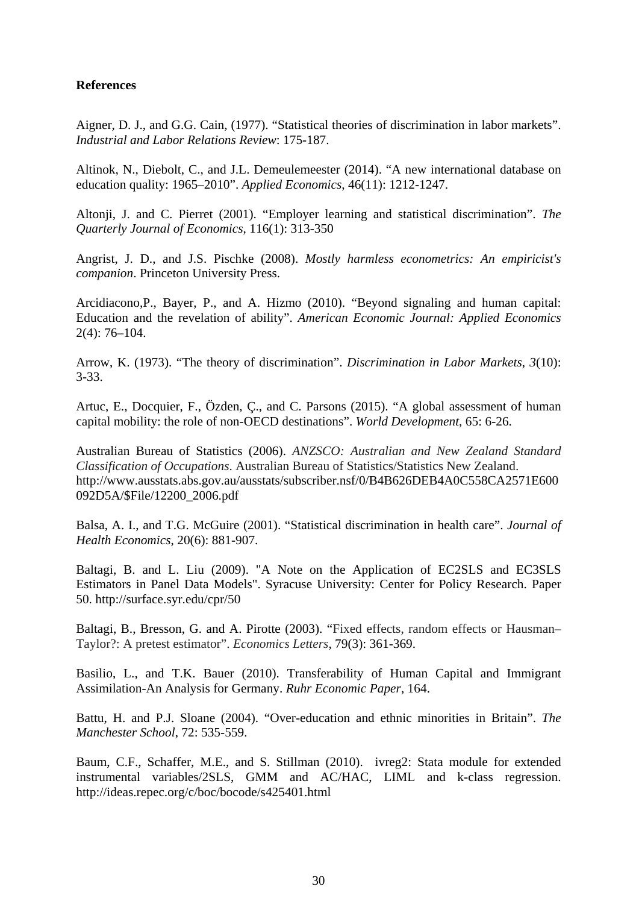### **References**

Aigner, D. J., and G.G. Cain, (1977). "Statistical theories of discrimination in labor markets". *Industrial and Labor Relations Review*: 175-187.

Altinok, N., Diebolt, C., and J.L. Demeulemeester (2014). "A new international database on education quality: 1965–2010". *Applied Economics*, 46(11): 1212-1247.

Altonji, J. and C. Pierret (2001). "Employer learning and statistical discrimination". *The Quarterly Journal of Economics*, 116(1): 313-350

Angrist, J. D., and J.S. Pischke (2008). *Mostly harmless econometrics: An empiricist's companion*. Princeton University Press.

Arcidiacono,P., Bayer, P., and A. Hizmo (2010). "Beyond signaling and human capital: Education and the revelation of ability". *American Economic Journal: Applied Economics*  2(4): 76–104.

Arrow, K. (1973). "The theory of discrimination". *Discrimination in Labor Markets*, *3*(10): 3-33.

Artuc, E., Docquier, F., Özden, Ç., and C. Parsons (2015). "A global assessment of human capital mobility: the role of non-OECD destinations". *World Development*, 65: 6-26.

Australian Bureau of Statistics (2006). *ANZSCO: Australian and New Zealand Standard Classification of Occupations*. Australian Bureau of Statistics/Statistics New Zealand. http://www.ausstats.abs.gov.au/ausstats/subscriber.nsf/0/B4B626DEB4A0C558CA2571E600 092D5A/\$File/12200\_2006.pdf

Balsa, A. I., and T.G. McGuire (2001). "Statistical discrimination in health care". *Journal of Health Economics*, 20(6): 881-907.

Baltagi, B. and L. Liu (2009). "A Note on the Application of EC2SLS and EC3SLS Estimators in Panel Data Models". Syracuse University: Center for Policy Research. Paper 50. http://surface.syr.edu/cpr/50

Baltagi, B., Bresson, G. and A. Pirotte (2003). "Fixed effects, random effects or Hausman-Taylor?: A pretest estimator". *Economics Letters*, 79(3): 361-369.

Basilio, L., and T.K. Bauer (2010). Transferability of Human Capital and Immigrant Assimilation-An Analysis for Germany. *Ruhr Economic Paper*, 164.

Battu, H. and P.J. Sloane (2004). "Over-education and ethnic minorities in Britain". *The Manchester School*, 72: 535-559.

Baum, C.F., Schaffer, M.E., and S. Stillman (2010). ivreg2: Stata module for extended instrumental variables/2SLS, GMM and AC/HAC, LIML and k-class regression. http://ideas.repec.org/c/boc/bocode/s425401.html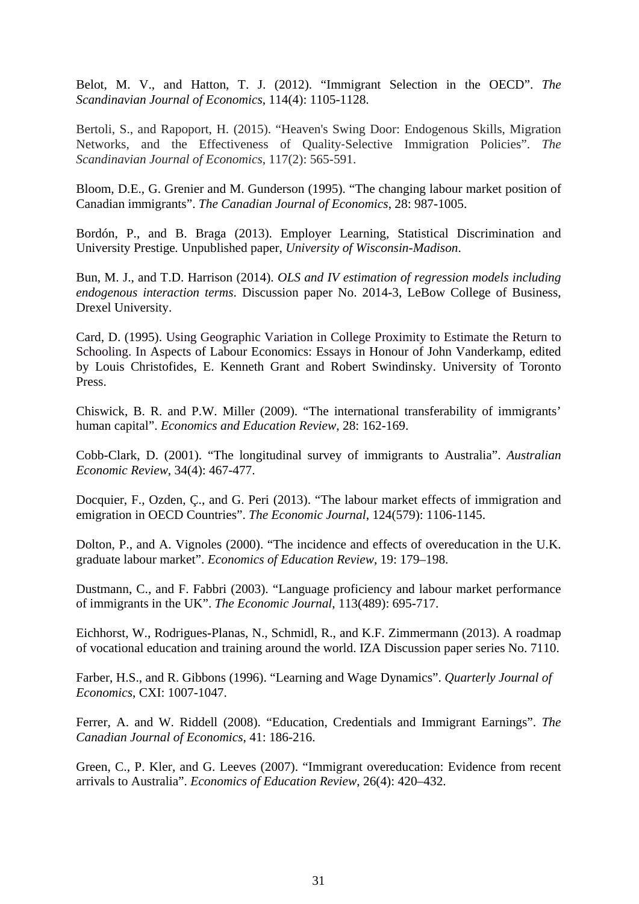Belot, M. V., and Hatton, T. J. (2012). "Immigrant Selection in the OECD". *The Scandinavian Journal of Economics*, 114(4): 1105-1128.

Bertoli, S., and Rapoport, H. (2015). "Heaven's Swing Door: Endogenous Skills, Migration Networks, and the Effectiveness of Quality‐Selective Immigration Policies". *The Scandinavian Journal of Economics*, 117(2): 565-591.

Bloom, D.E., G. Grenier and M. Gunderson (1995). "The changing labour market position of Canadian immigrants". *The Canadian Journal of Economics*, 28: 987-1005.

Bordón, P., and B. Braga (2013). Employer Learning, Statistical Discrimination and University Prestige*.* Unpublished paper, *University of Wisconsin-Madison*.

Bun, M. J., and T.D. Harrison (2014). *OLS and IV estimation of regression models including endogenous interaction terms*. Discussion paper No. 2014-3, LeBow College of Business, Drexel University.

Card, D. (1995). Using Geographic Variation in College Proximity to Estimate the Return to Schooling. In Aspects of Labour Economics: Essays in Honour of John Vanderkamp, edited by Louis Christofides, E. Kenneth Grant and Robert Swindinsky. University of Toronto Press.

Chiswick, B. R. and P.W. Miller (2009). "The international transferability of immigrants' human capital". *Economics and Education Review*, 28: 162-169.

Cobb-Clark, D. (2001). "The longitudinal survey of immigrants to Australia". *Australian Economic Review*, 34(4): 467-477.

Docquier, F., Ozden, Ç., and G. Peri (2013). "The labour market effects of immigration and emigration in OECD Countries". *The Economic Journal*, 124(579): 1106-1145.

Dolton, P., and A. Vignoles (2000). "The incidence and effects of overeducation in the U.K. graduate labour market". *Economics of Education Review*, 19: 179–198.

Dustmann, C., and F. Fabbri (2003). "Language proficiency and labour market performance of immigrants in the UK". *The Economic Journal*, 113(489): 695-717.

Eichhorst, W., Rodrigues-Planas, N., Schmidl, R., and K.F. Zimmermann (2013). A roadmap of vocational education and training around the world. IZA Discussion paper series No. 7110.

Farber, H.S., and R. Gibbons (1996). "Learning and Wage Dynamics". *Quarterly Journal of Economics*, CXI: 1007-1047.

Ferrer, A. and W. Riddell (2008). "Education, Credentials and Immigrant Earnings". *The Canadian Journal of Economics*, 41: 186-216.

Green, C., P. Kler, and G. Leeves (2007). "Immigrant overeducation: Evidence from recent arrivals to Australia". *Economics of Education Review*, 26(4): 420–432.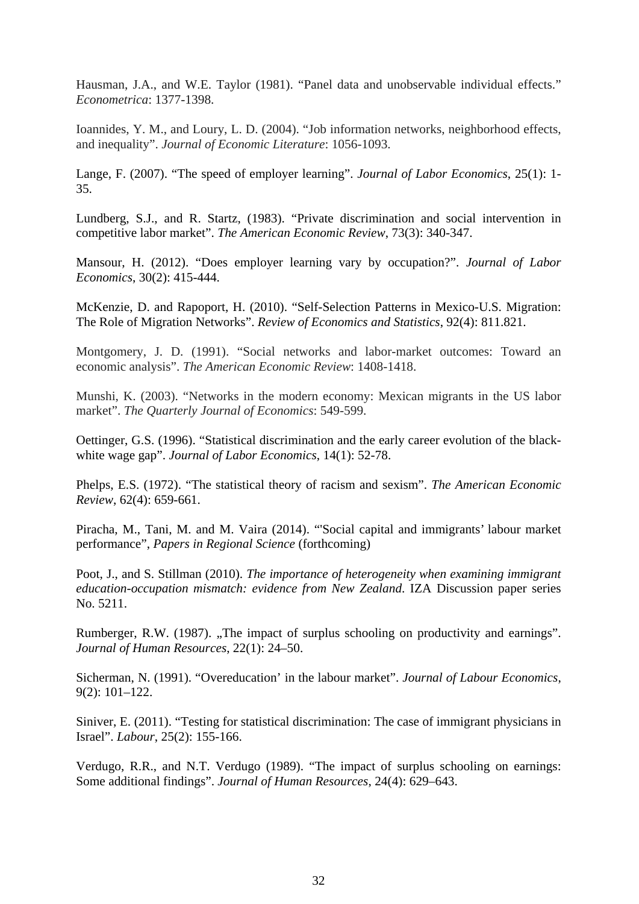Hausman, J.A., and W.E. Taylor (1981). "Panel data and unobservable individual effects." *Econometrica*: 1377-1398.

Ioannides, Y. M., and Loury, L. D. (2004). "Job information networks, neighborhood effects, and inequality". *Journal of Economic Literature*: 1056-1093.

Lange, F. (2007). "The speed of employer learning". *Journal of Labor Economics*, 25(1): 1- 35.

Lundberg, S.J., and R. Startz, (1983). "Private discrimination and social intervention in competitive labor market". *The American Economic Review*, 73(3): 340-347.

Mansour, H. (2012). "Does employer learning vary by occupation?". *Journal of Labor Economics*, 30(2): 415-444.

McKenzie, D. and Rapoport, H. (2010). "Self-Selection Patterns in Mexico-U.S. Migration: The Role of Migration Networks". *Review of Economics and Statistics*, 92(4): 811.821.

Montgomery, J. D. (1991). "Social networks and labor-market outcomes: Toward an economic analysis". *The American Economic Review*: 1408-1418.

Munshi, K. (2003). "Networks in the modern economy: Mexican migrants in the US labor market". *The Quarterly Journal of Economics*: 549-599.

Oettinger, G.S. (1996). "Statistical discrimination and the early career evolution of the blackwhite wage gap". *Journal of Labor Economics*, 14(1): 52-78.

Phelps, E.S. (1972). "The statistical theory of racism and sexism". *The American Economic Review*, 62(4): 659-661.

Piracha, M., Tani, M. and M. Vaira (2014). "'Social capital and immigrants' labour market performance", *Papers in Regional Science* (forthcoming)

Poot, J., and S. Stillman (2010). *The importance of heterogeneity when examining immigrant education-occupation mismatch: evidence from New Zealand*. IZA Discussion paper series No. 5211.

Rumberger, R.W. (1987). "The impact of surplus schooling on productivity and earnings". *Journal of Human Resources*, 22(1): 24–50.

Sicherman, N. (1991). "Overeducation' in the labour market". *Journal of Labour Economics*, 9(2): 101–122.

Siniver, E. (2011). "Testing for statistical discrimination: The case of immigrant physicians in Israel". *Labour*, 25(2): 155-166.

Verdugo, R.R., and N.T. Verdugo (1989). "The impact of surplus schooling on earnings: Some additional findings". *Journal of Human Resources*, 24(4): 629–643.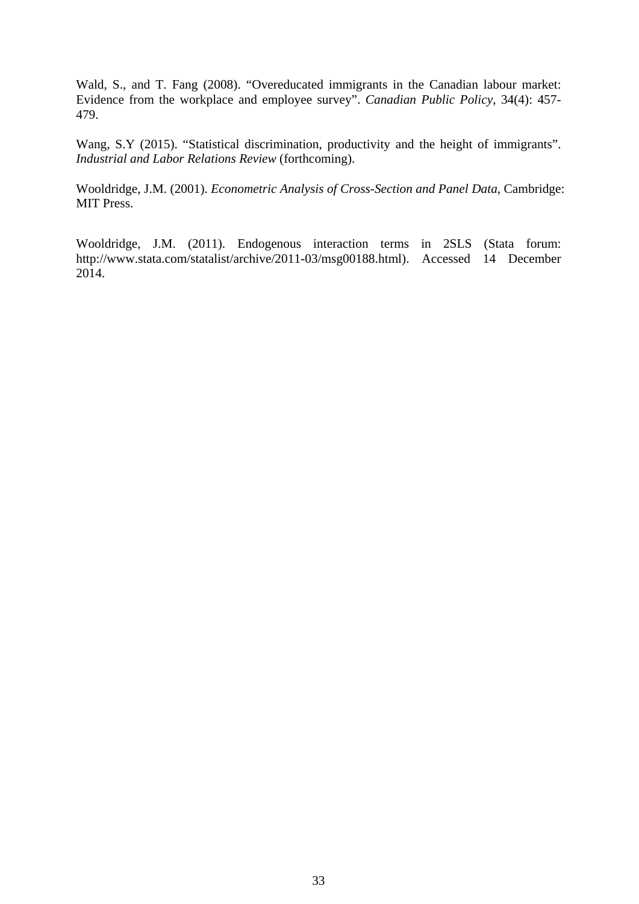Wald, S., and T. Fang (2008). "Overeducated immigrants in the Canadian labour market: Evidence from the workplace and employee survey". *Canadian Public Policy*, 34(4): 457- 479.

Wang, S.Y (2015). "Statistical discrimination, productivity and the height of immigrants". *Industrial and Labor Relations Review* (forthcoming).

Wooldridge, J.M. (2001). *Econometric Analysis of Cross-Section and Panel Data*, Cambridge: MIT Press.

Wooldridge, J.M. (2011). Endogenous interaction terms in 2SLS (Stata forum: http://www.stata.com/statalist/archive/2011-03/msg00188.html). Accessed 14 December 2014.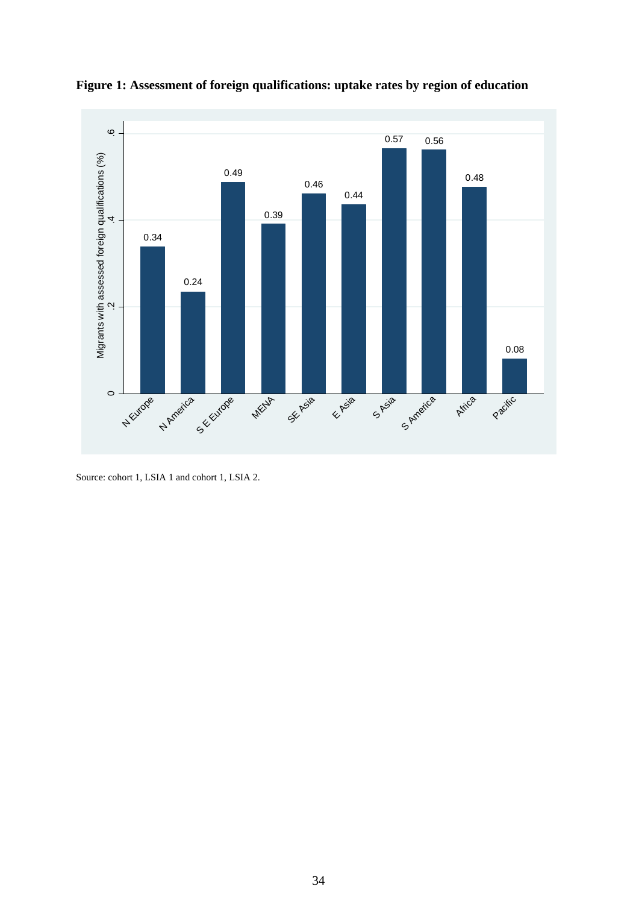

**Figure 1: Assessment of foreign qualifications: uptake rates by region of education** 

Source: cohort 1, LSIA 1 and cohort 1, LSIA 2.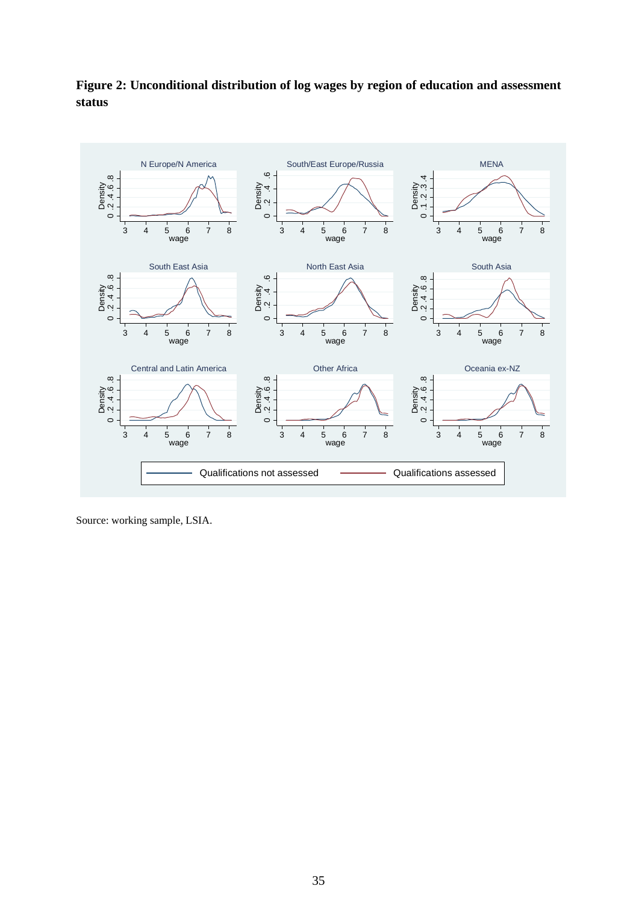



Source: working sample, LSIA.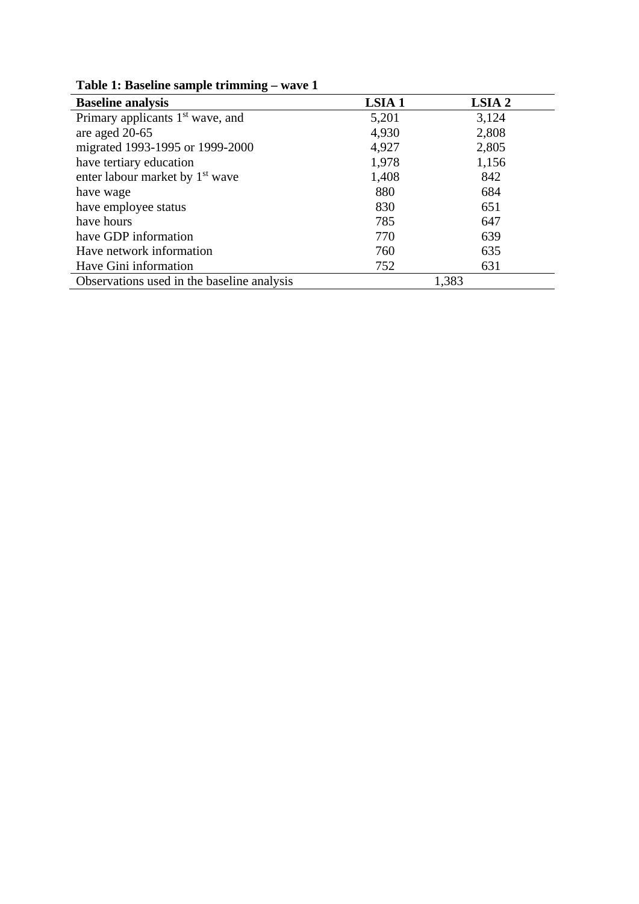| <b>Baseline analysis</b>                     | <b>LSIA1</b> | LSIA 2 |
|----------------------------------------------|--------------|--------|
| Primary applicants 1 <sup>st</sup> wave, and | 5,201        | 3,124  |
| are aged 20-65                               | 4,930        | 2,808  |
| migrated 1993-1995 or 1999-2000              | 4,927        | 2,805  |
| have tertiary education                      | 1,978        | 1,156  |
| enter labour market by 1 <sup>st</sup> wave  | 1,408        | 842    |
| have wage                                    | 880          | 684    |
| have employee status                         | 830          | 651    |
| have hours                                   | 785          | 647    |
| have GDP information                         | 770          | 639    |
| Have network information                     | 760          | 635    |
| Have Gini information                        | 752          | 631    |
| Observations used in the baseline analysis   |              | 1,383  |

**Table 1: Baseline sample trimming – wave 1**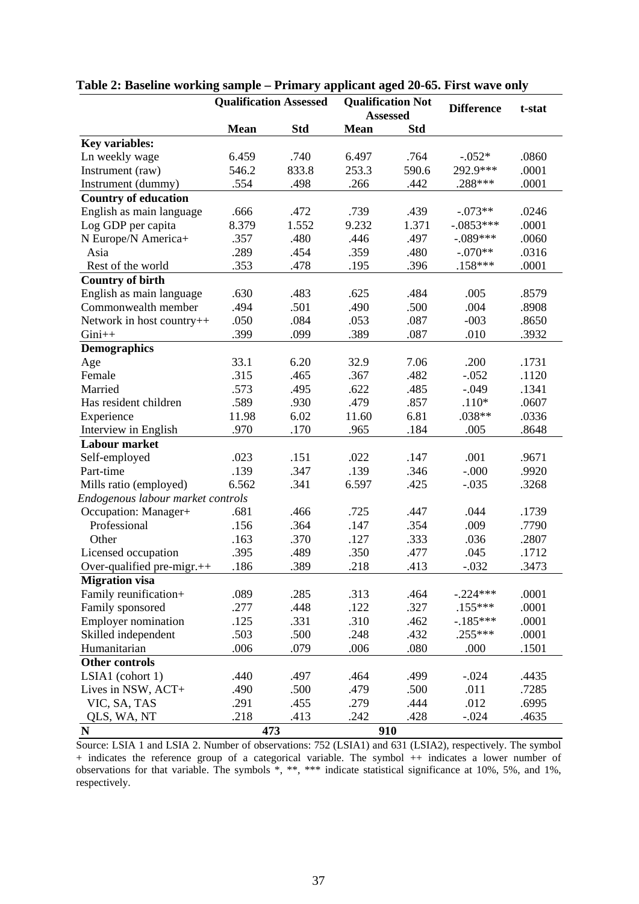|                                   |             | <b>Qualification Assessed</b> | <b>Qualification Not</b> |                 | <b>Difference</b> | t-stat |  |
|-----------------------------------|-------------|-------------------------------|--------------------------|-----------------|-------------------|--------|--|
|                                   |             |                               |                          | <b>Assessed</b> |                   |        |  |
|                                   | <b>Mean</b> | <b>Std</b>                    | <b>Mean</b>              | <b>Std</b>      |                   |        |  |
| <b>Key variables:</b>             |             |                               |                          |                 |                   |        |  |
| Ln weekly wage                    | 6.459       | .740                          | 6.497                    | .764            | $-.052*$          | .0860  |  |
| Instrument (raw)                  | 546.2       | 833.8                         | 253.3                    | 590.6           | 292.9***          | .0001  |  |
| Instrument (dummy)                | .554        | .498                          | .266                     | .442            | .288***           | .0001  |  |
| <b>Country of education</b>       |             |                               |                          |                 |                   |        |  |
| English as main language          | .666        | .472                          | .739                     | .439            | $-.073**$         | .0246  |  |
| Log GDP per capita                | 8.379       | 1.552                         | 9.232                    | 1.371           | $-.0853***$       | .0001  |  |
| N Europe/N America+               | .357        | .480                          | .446                     | .497            | $-.089***$        | .0060  |  |
| Asia                              | .289        | .454                          | .359                     | .480            | $-.070**$         | .0316  |  |
| Rest of the world                 | .353        | .478                          | .195                     | .396            | $.158***$         | .0001  |  |
| <b>Country of birth</b>           |             |                               |                          |                 |                   |        |  |
| English as main language          | .630        | .483                          | .625                     | .484            | .005              | .8579  |  |
| Commonwealth member               | .494        | .501                          | .490                     | .500            | .004              | .8908  |  |
| Network in host country++         | .050        | .084                          | .053                     | .087            | $-003$            | .8650  |  |
| $Gini++$                          | .399        | .099                          | .389                     | .087            | .010              | .3932  |  |
| <b>Demographics</b>               |             |                               |                          |                 |                   |        |  |
| Age                               | 33.1        | 6.20                          | 32.9                     | 7.06            | .200              | .1731  |  |
| Female                            | .315        | .465                          | .367                     | .482            | $-.052$           | .1120  |  |
| Married                           | .573        | .495                          | .622                     | .485            | $-.049$           | .1341  |  |
| Has resident children             | .589        | .930                          | .479                     | .857            | $.110*$           | .0607  |  |
| Experience                        | 11.98       | 6.02                          | 11.60                    | 6.81            | .038**            | .0336  |  |
| Interview in English              | .970        | .170                          | .965                     | .184            | .005              | .8648  |  |
| <b>Labour market</b>              |             |                               |                          |                 |                   |        |  |
| Self-employed                     | .023        | .151                          | .022                     | .147            | .001              | .9671  |  |
| Part-time                         | .139        | .347                          | .139                     | .346            | $-0.000$          | .9920  |  |
| Mills ratio (employed)            | 6.562       | .341                          | 6.597                    | .425            | $-.035$           | .3268  |  |
| Endogenous labour market controls |             |                               |                          |                 |                   |        |  |
| Occupation: Manager+              | .681        | .466                          | .725                     | .447            | .044              | .1739  |  |
| Professional                      | .156        | .364                          | .147                     | .354            | .009              | .7790  |  |
| Other                             | .163        | .370                          | .127                     | .333            | .036              | .2807  |  |
| Licensed occupation               | .395        | .489                          | .350                     | .477            | .045              | .1712  |  |
| Over-qualified pre-migr.++        | .186        | .389                          | .218                     | .413            | $-.032$           | .3473  |  |
| <b>Migration visa</b>             |             |                               |                          |                 |                   |        |  |
| Family reunification+             | .089        | .285                          | .313                     | .464            | $-.224***$        | .0001  |  |
| Family sponsored                  | .277        | .448                          | .122                     | .327            | $.155***$         | .0001  |  |
| <b>Employer nomination</b>        | .125        | .331                          | .310                     | .462            | $-.185***$        | .0001  |  |
| Skilled independent               | .503        | .500                          | .248                     | .432            | $.255***$         | .0001  |  |
| Humanitarian                      | .006        | .079                          | .006                     | .080            | .000              | .1501  |  |
| <b>Other controls</b>             |             |                               |                          |                 |                   |        |  |
| LSIA1 (cohort 1)                  | .440        | .497                          | .464                     | .499            | $-.024$           | .4435  |  |
| Lives in NSW, ACT+                | .490        | .500                          | .479                     | .500            | .011              | .7285  |  |
| VIC, SA, TAS                      | .291        | .455                          | .279                     | .444            | .012              | .6995  |  |
| QLS, WA, NT                       | .218        | .413                          | .242                     | .428            | $-.024$           | .4635  |  |
| $\mathbf N$                       | 473         |                               |                          | 910             |                   |        |  |

### **Table 2: Baseline working sample – Primary applicant aged 20-65. First wave only**

Source: LSIA 1 and LSIA 2. Number of observations: 752 (LSIA1) and 631 (LSIA2), respectively. The symbol + indicates the reference group of a categorical variable. The symbol ++ indicates a lower number of observations for that variable. The symbols \*, \*\*, \*\*\* indicate statistical significance at 10%, 5%, and 1%, respectively.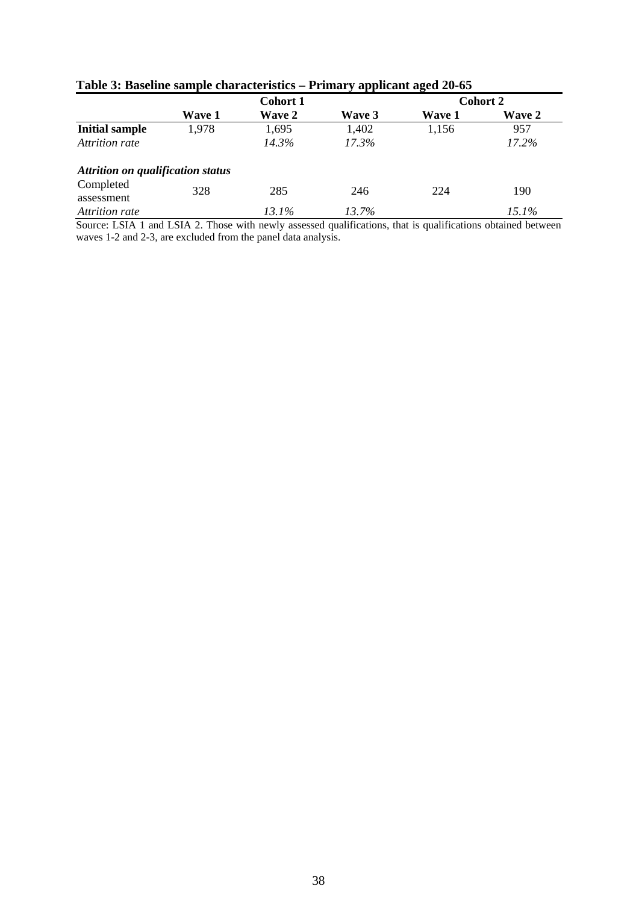|                                          |               | <b>Cohort 1</b> | $\sim$<br>Cohort 2 |        |               |  |
|------------------------------------------|---------------|-----------------|--------------------|--------|---------------|--|
|                                          | <b>Wave 1</b> | <b>Wave 2</b>   | Wave 3             | Wave 1 | <b>Wave 2</b> |  |
| <b>Initial sample</b>                    | 1,978         | 1,695           | 1,402              | 1,156  | 957           |  |
| Attrition rate                           |               | 14.3%           | $17.3\%$           |        | 17.2%         |  |
| <b>Attrition on qualification status</b> |               |                 |                    |        |               |  |
| Completed<br>assessment                  | 328           | 285             | 246                | 224    | 190           |  |
| Attrition rate                           |               | $13.1\%$        | $13.7\%$           |        | 15.1%         |  |

### **Table 3: Baseline sample characteristics – Primary applicant aged 20-65**

Source: LSIA 1 and LSIA 2. Those with newly assessed qualifications, that is qualifications obtained between waves 1-2 and 2-3, are excluded from the panel data analysis.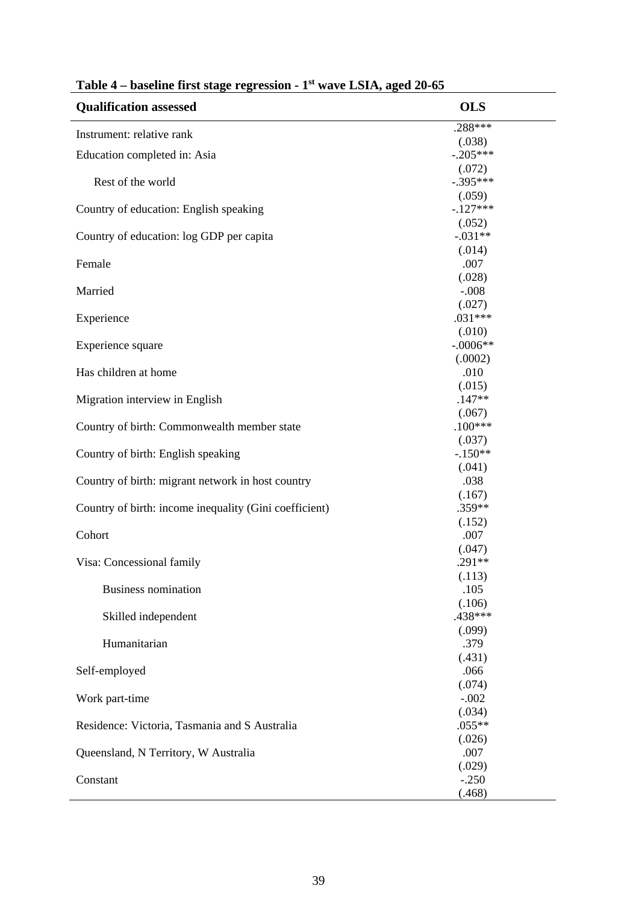| <b>Qualification assessed</b>                          | <b>OLS</b>           |
|--------------------------------------------------------|----------------------|
| Instrument: relative rank                              | .288***              |
|                                                        | (.038)<br>$-.205***$ |
| Education completed in: Asia                           |                      |
| Rest of the world                                      | (.072)<br>$-.395***$ |
|                                                        | (.059)               |
| Country of education: English speaking                 | $-.127***$           |
|                                                        | (.052)               |
| Country of education: log GDP per capita               | $-.031**$            |
|                                                        | (.014)               |
| Female                                                 | .007                 |
|                                                        | (.028)               |
| Married                                                | $-.008$              |
|                                                        | (.027)               |
| Experience                                             | $.031***$            |
|                                                        | (.010)               |
| Experience square                                      | $-.0006**$           |
|                                                        | (.0002)              |
| Has children at home                                   | .010                 |
|                                                        | (.015)               |
| Migration interview in English                         | $.147**$             |
|                                                        | (.067)               |
| Country of birth: Commonwealth member state            | $.100***$            |
|                                                        | (.037)               |
| Country of birth: English speaking                     | $-.150**$            |
|                                                        | (.041)               |
| Country of birth: migrant network in host country      | .038                 |
|                                                        | (.167)               |
| Country of birth: income inequality (Gini coefficient) | .359**               |
|                                                        | (.152)               |
| Cohort                                                 | .007                 |
|                                                        | (.047)               |
| Visa: Concessional family                              | .291**               |
|                                                        | (.113)               |
| <b>Business nomination</b>                             | .105                 |
|                                                        | (.106)<br>.438***    |
| Skilled independent                                    |                      |
|                                                        | (.099)               |
| Humanitarian                                           | .379<br>(.431)       |
| Self-employed                                          | .066                 |
|                                                        | (.074)               |
| Work part-time                                         | $-.002$              |
|                                                        | (.034)               |
| Residence: Victoria, Tasmania and S Australia          | $.055**$             |
|                                                        | (.026)               |
| Queensland, N Territory, W Australia                   | .007                 |
|                                                        | (.029)               |
| Constant                                               | $-.250$              |
|                                                        | (.468)               |
|                                                        |                      |

# **Table 4 – baseline first stage regression - 1st wave LSIA, aged 20-65**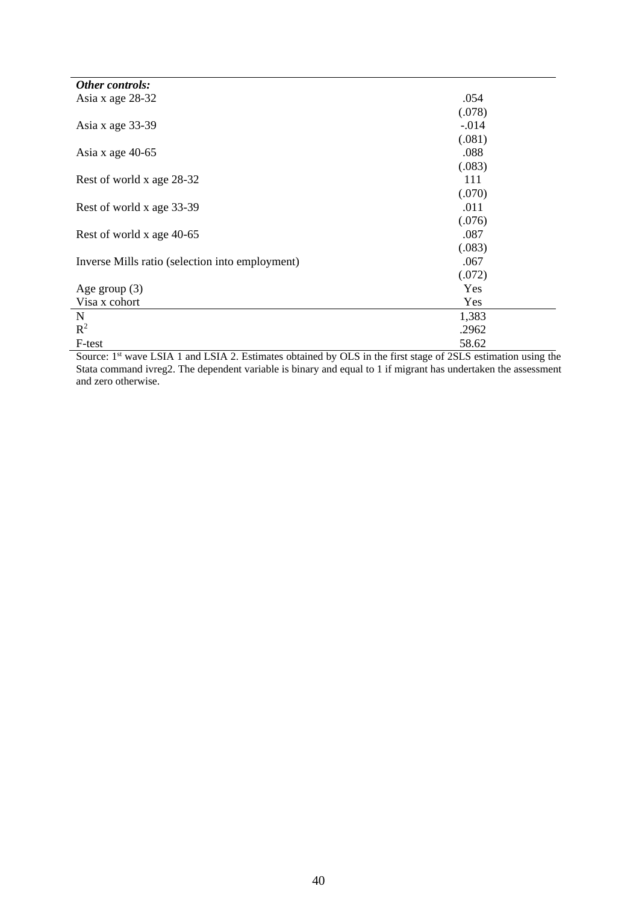| Other controls:                                 |         |
|-------------------------------------------------|---------|
| Asia x age 28-32                                | .054    |
|                                                 | (.078)  |
| Asia x age 33-39                                | $-.014$ |
|                                                 | (.081)  |
| Asia x age 40-65                                | .088    |
|                                                 | (.083)  |
| Rest of world x age 28-32                       | 111     |
|                                                 | (.070)  |
| Rest of world x age 33-39                       | .011    |
|                                                 | (.076)  |
| Rest of world x age 40-65                       | .087    |
|                                                 | (.083)  |
| Inverse Mills ratio (selection into employment) | .067    |
|                                                 | (.072)  |
| Age group $(3)$                                 | Yes     |
| Visa x cohort                                   | Yes     |
| $\mathbf N$                                     | 1,383   |
| $R^2$                                           | .2962   |
| F-test                                          | 58.62   |

Source: 1<sup>st</sup> wave LSIA 1 and LSIA 2. Estimates obtained by OLS in the first stage of 2SLS estimation using the Stata command ivreg2. The dependent variable is binary and equal to 1 if migrant has undertaken the assessment and zero otherwise.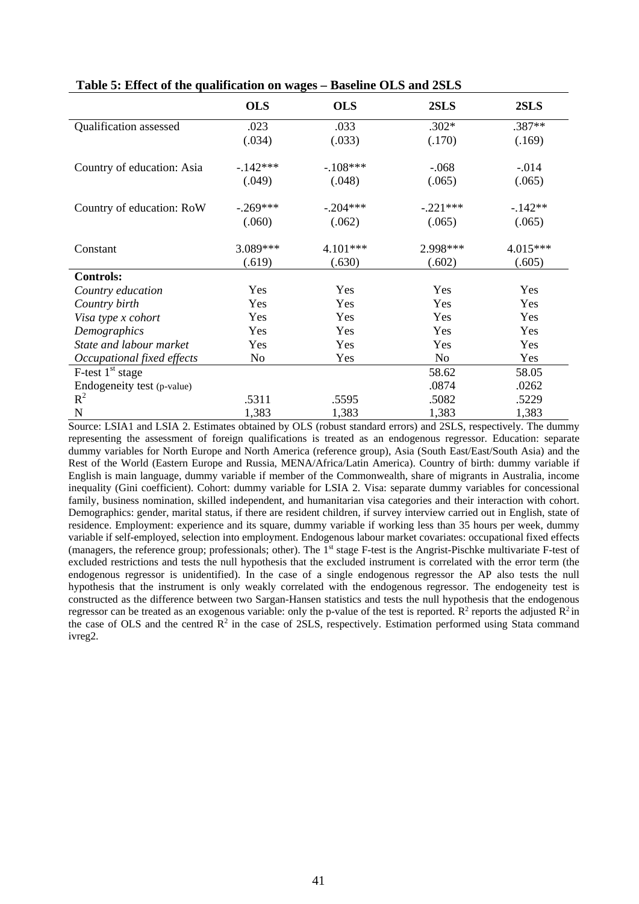|                                 | <b>OLS</b> | <b>OLS</b> | 2SLS       | 2SLS     |
|---------------------------------|------------|------------|------------|----------|
| Qualification assessed          | .023       | .033       | $.302*$    | .387**   |
|                                 | (.034)     | (.033)     | (.170)     | (.169)   |
| Country of education: Asia      | $-.142***$ | $-.108***$ | $-.068$    | $-.014$  |
|                                 | (.049)     | (.048)     | (.065)     | (.065)   |
| Country of education: RoW       | $-.269***$ | $-.204***$ | $-.221***$ | $-142**$ |
|                                 | (.060)     | (.062)     | (.065)     | (.065)   |
| Constant                        | 3.089***   | 4.101***   | 2.998***   | 4.015*** |
|                                 | (.619)     | (.630)     | (.602)     | (.605)   |
| <b>Controls:</b>                |            |            |            |          |
| Country education               | Yes        | Yes        | Yes        | Yes      |
| Country birth                   | Yes        | Yes        | Yes        | Yes      |
| Visa type x cohort              | Yes        | Yes        | Yes        | Yes      |
| Demographics                    | Yes        | Yes        | Yes        | Yes      |
| State and labour market         | Yes        | Yes        | Yes        | Yes      |
| Occupational fixed effects      | No         | Yes        | No         | Yes      |
| $F$ -test 1 <sup>st</sup> stage |            |            | 58.62      | 58.05    |
| Endogeneity test (p-value)      |            |            | .0874      | .0262    |
| $R^2$                           | .5311      | .5595      | .5082      | .5229    |
| $\mathbf N$                     | 1,383      | 1,383      | 1,383      | 1,383    |

**Table 5: Effect of the qualification on wages – Baseline OLS and 2SLS** 

Source: LSIA1 and LSIA 2. Estimates obtained by OLS (robust standard errors) and 2SLS, respectively. The dummy representing the assessment of foreign qualifications is treated as an endogenous regressor. Education: separate dummy variables for North Europe and North America (reference group), Asia (South East/East/South Asia) and the Rest of the World (Eastern Europe and Russia, MENA/Africa/Latin America). Country of birth: dummy variable if English is main language, dummy variable if member of the Commonwealth, share of migrants in Australia, income inequality (Gini coefficient). Cohort: dummy variable for LSIA 2. Visa: separate dummy variables for concessional family, business nomination, skilled independent, and humanitarian visa categories and their interaction with cohort. Demographics: gender, marital status, if there are resident children, if survey interview carried out in English, state of residence. Employment: experience and its square, dummy variable if working less than 35 hours per week, dummy variable if self-employed, selection into employment. Endogenous labour market covariates: occupational fixed effects (managers, the reference group; professionals; other). The 1<sup>st</sup> stage F-test is the Angrist-Pischke multivariate F-test of excluded restrictions and tests the null hypothesis that the excluded instrument is correlated with the error term (the endogenous regressor is unidentified). In the case of a single endogenous regressor the AP also tests the null hypothesis that the instrument is only weakly correlated with the endogenous regressor. The endogeneity test is constructed as the difference between two Sargan-Hansen statistics and tests the null hypothesis that the endogenous regressor can be treated as an exogenous variable: only the p-value of the test is reported.  $R^2$  reports the adjusted  $R^2$  in the case of OLS and the centred  $\mathbb{R}^2$  in the case of 2SLS, respectively. Estimation performed using Stata command ivreg2.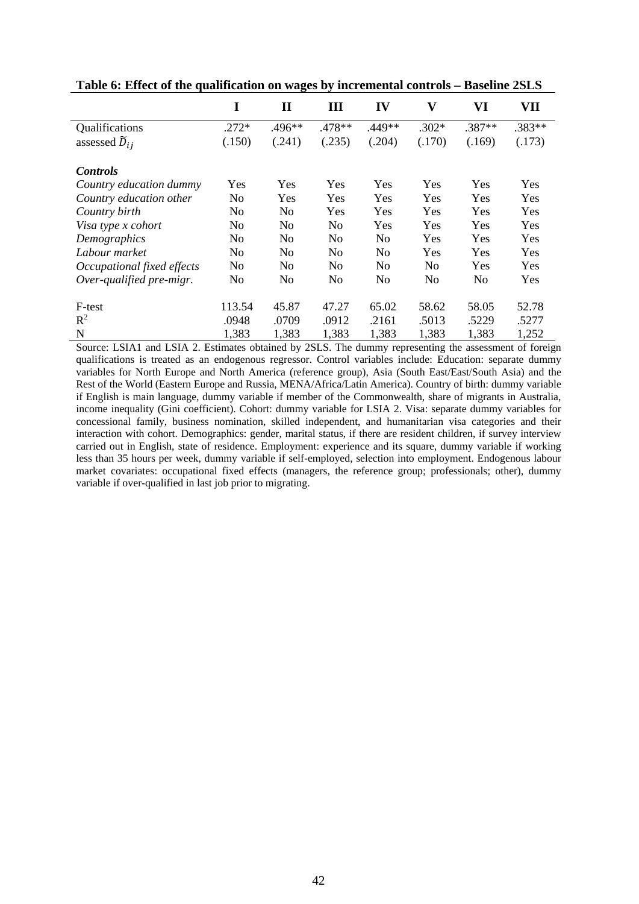|                            | I              | $\mathbf{I}$   | Ш      | IV             | $\mathbf{V}$   | VI     | VII    |
|----------------------------|----------------|----------------|--------|----------------|----------------|--------|--------|
| Qualifications             | $.272*$        | .496**         | .478** | .449**         | $.302*$        | .387** | .383** |
| assessed $\tilde{D}_{ij}$  | (.150)         | (.241)         | (.235) | (.204)         | (.170)         | (.169) | (.173) |
| <b>Controls</b>            |                |                |        |                |                |        |        |
| Country education dummy    | Yes            | Yes            | Yes    | Yes            | Yes            | Yes    | Yes    |
| Country education other    | No             | Yes            | Yes    | Yes            | Yes            | Yes    | Yes    |
| Country birth              | N <sub>0</sub> | No             | Yes    | Yes            | Yes            | Yes    | Yes    |
| Visa type x cohort         | N <sub>0</sub> | N <sub>0</sub> | No.    | Yes            | Yes            | Yes    | Yes    |
| Demographics               | N <sub>0</sub> | N <sub>0</sub> | No.    | N <sub>0</sub> | Yes            | Yes    | Yes    |
| Labour market              | N <sub>0</sub> | N <sub>0</sub> | No     | N <sub>0</sub> | Yes            | Yes    | Yes    |
| Occupational fixed effects | N <sub>o</sub> | N <sub>o</sub> | No     | N <sub>o</sub> | N <sub>o</sub> | Yes    | Yes    |
| Over-qualified pre-migr.   | No             | No             | No     | N <sub>o</sub> | No             | No     | Yes    |
| F-test                     | 113.54         | 45.87          | 47.27  | 65.02          | 58.62          | 58.05  | 52.78  |
| $R^2$                      | .0948          | .0709          | .0912  | .2161          | .5013          | .5229  | .5277  |
| N                          | 1,383          | 1,383          | 1,383  | 1,383          | 1,383          | 1,383  | 1,252  |

**Table 6: Effect of the qualification on wages by incremental controls – Baseline 2SLS** 

Source: LSIA1 and LSIA 2. Estimates obtained by 2SLS. The dummy representing the assessment of foreign qualifications is treated as an endogenous regressor. Control variables include: Education: separate dummy variables for North Europe and North America (reference group), Asia (South East/East/South Asia) and the Rest of the World (Eastern Europe and Russia, MENA/Africa/Latin America). Country of birth: dummy variable if English is main language, dummy variable if member of the Commonwealth, share of migrants in Australia, income inequality (Gini coefficient). Cohort: dummy variable for LSIA 2. Visa: separate dummy variables for concessional family, business nomination, skilled independent, and humanitarian visa categories and their interaction with cohort. Demographics: gender, marital status, if there are resident children, if survey interview carried out in English, state of residence. Employment: experience and its square, dummy variable if working less than 35 hours per week, dummy variable if self-employed, selection into employment. Endogenous labour market covariates: occupational fixed effects (managers, the reference group; professionals; other), dummy variable if over-qualified in last job prior to migrating.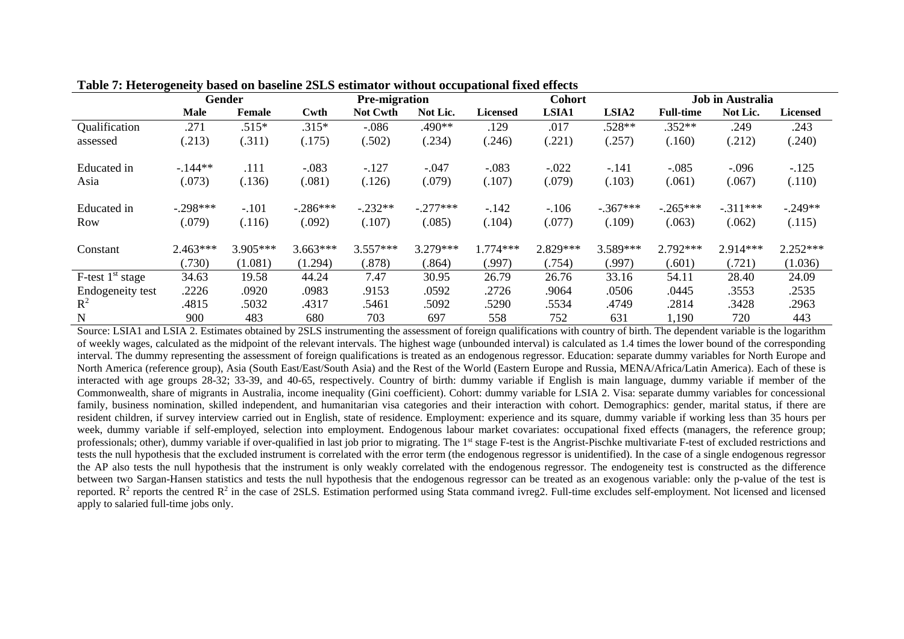|                       | $\bullet$<br>Gender |          |            | <b>Pre-migration</b> |            |                 | <b>Cohort</b> |                   |                  | Job in Australia |                 |  |
|-----------------------|---------------------|----------|------------|----------------------|------------|-----------------|---------------|-------------------|------------------|------------------|-----------------|--|
|                       | <b>Male</b>         | Female   | Cwth       | Not Cwth             | Not Lic.   | <b>Licensed</b> | LSIA1         | LSIA <sub>2</sub> | <b>Full-time</b> | Not Lic.         | <b>Licensed</b> |  |
| Qualification         | .271                | $.515*$  | $.315*$    | $-.086$              | .490**     | .129            | .017          | .528**            | $.352**$         | .249             | .243            |  |
| assessed              | (.213)              | (.311)   | (.175)     | (.502)               | (.234)     | (.246)          | (.221)        | (.257)            | (.160)           | (.212)           | (.240)          |  |
| Educated in           | $-.144**$           | .111     | $-.083$    | $-.127$              | $-.047$    | $-.083$         | $-.022$       | $-.141$           | $-.085$          | $-.096$          | $-.125$         |  |
| Asia                  | (.073)              | (.136)   | (.081)     | (.126)               | (.079)     | (.107)          | (.079)        | (.103)            | (.061)           | (.067)           | (.110)          |  |
| Educated in           | $-.298***$          | $-.101$  | $-.286***$ | $-.232**$            | $-.277***$ | $-.142$         | $-.106$       | $-.367***$        | $-.265***$       | $-311***$        | $-.249**$       |  |
| <b>Row</b>            | (.079)              | (.116)   | (.092)     | (.107)               | (.085)     | (.104)          | (.077)        | (.109)            | (.063)           | (.062)           | (.115)          |  |
| Constant              | $2.463***$          | 3.905*** | $3.663***$ | $3.557***$           | 3.279***   | $.774***$       | 2.829***      | 3.589***          | 2.792***         | 2.914***         | $2.252***$      |  |
|                       | (.730)              | (1.081)  | (1.294)    | (.878)               | (.864)     | (.997)          | (.754)        | (.997)            | (.601)           | (.721)           | (1.036)         |  |
| $F$ -test $1st$ stage | 34.63               | 19.58    | 44.24      | 7.47                 | 30.95      | 26.79           | 26.76         | 33.16             | 54.11            | 28.40            | 24.09           |  |
| Endogeneity test      | .2226               | .0920    | .0983      | .9153                | .0592      | .2726           | .9064         | .0506             | .0445            | .3553            | .2535           |  |
| $\mathbb{R}^2$        | .4815               | .5032    | .4317      | .5461                | .5092      | .5290           | .5534         | .4749             | .2814            | .3428            | .2963           |  |
| $\mathbf N$           | 900                 | 483      | 680        | 703                  | 697        | 558             | 752           | 631               | 1,190            | 720              | 443             |  |

**Table 7: Heterogeneity based on baseline 2SLS estimator without occupational fixed effects** 

Source: LSIA1 and LSIA 2. Estimates obtained by 2SLS instrumenting the assessment of foreign qualifications with country of birth. The dependent variable is the logarithm of weekly wages, calculated as the midpoint of the relevant intervals. The highest wage (unbounded interval) is calculated as 1.4 times the lower bound of the corresponding interval. The dummy representing the assessment of foreign qualifications is treated as an endogenous regressor. Education: separate dummy variables for North Europe and North America (reference group), Asia (South East/East/South Asia) and the Rest of the World (Eastern Europe and Russia, MENA/Africa/Latin America). Each of these is interacted with age groups 28-32; 33-39, and 40-65, respectively. Country of birth: dummy variable if English is main language, dummy variable if member of the Commonwealth, share of migrants in Australia, income inequality (Gini coefficient). Cohort: dummy variable for LSIA 2. Visa: separate dummy variables for concessional family, business nomination, skilled independent, and humanitarian visa categories and their interaction with cohort. Demographics: gender, marital status, if there are resident children, if survey interview carried out in English, state of residence. Employment: experience and its square, dummy variable if working less than 35 hours per week, dummy variable if self-employed, selection into employment. Endogenous labour market covariates: occupational fixed effects (managers, the reference group; professionals; other), dummy variable if over-qualified in last job prior to migrating. The 1<sup>st</sup> stage F-test is the Angrist-Pischke multivariate F-test of excluded restrictions and tests the null hypothesis that the excluded instrument is correlated with the error term (the endogenous regressor is unidentified). In the case of a single endogenous regressor the AP also tests the null hypothesis that the instrument is only weakly correlated with the endogenous regressor. The endogeneity test is constructed as the difference between two Sargan-Hansen statistics and tests the null hypothesis that the endogenous regressor can be treated as an exogenous variable: only the p-value of the test is reported.  $R^2$  reports the centred  $R^2$  in the case of 2SLS. Estimation performed using Stata command ivreg2. Full-time excludes self-employment. Not licensed and licensed apply to salaried full-time jobs only.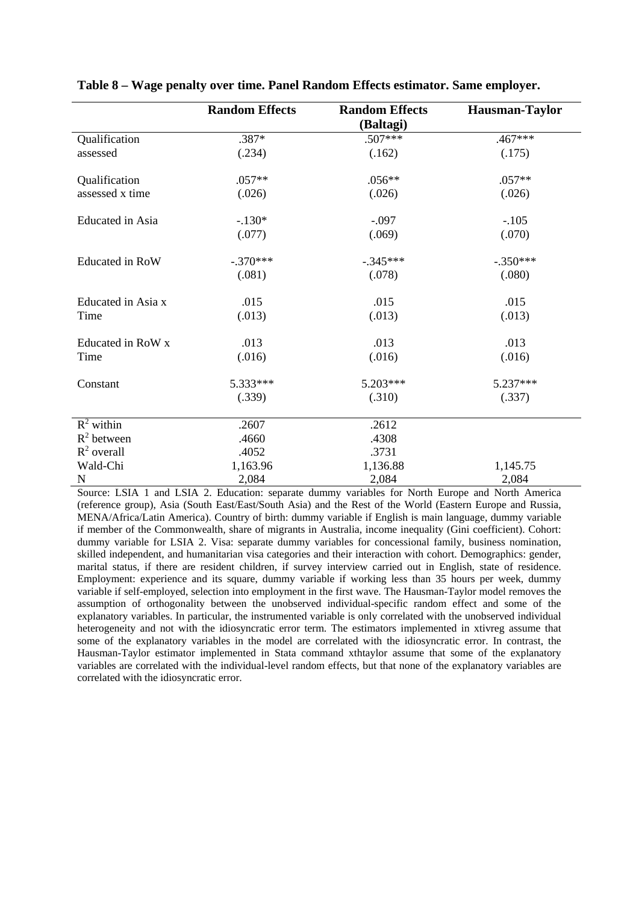|                         | <b>Random Effects</b> | <b>Random Effects</b><br>(Baltagi) | <b>Hausman-Taylor</b> |
|-------------------------|-----------------------|------------------------------------|-----------------------|
| Qualification           | .387*                 | .507***                            | .467***               |
| assessed                | (.234)                | (.162)                             | (.175)                |
| Qualification           | $.057**$              | $.056**$                           | $.057**$              |
| assessed x time         | (.026)                | (.026)                             | (.026)                |
| <b>Educated</b> in Asia | $-.130*$              | $-.097$                            | $-.105$               |
|                         | (.077)                | (.069)                             | (.070)                |
| Educated in RoW         | $-.370***$            | $-.345***$                         | $-.350***$            |
|                         | (.081)                | (.078)                             | (.080)                |
| Educated in Asia x      | .015                  | .015                               | .015                  |
| Time                    | (.013)                | (.013)                             | (.013)                |
| Educated in RoW x       | .013                  | .013                               | .013                  |
| Time                    | (.016)                | (.016)                             | (.016)                |
| Constant                | 5.333***              | 5.203***                           | 5.237***              |
|                         | (.339)                | (.310)                             | (.337)                |
| $R^2$ within            | .2607                 | .2612                              |                       |
| $R^2$ between           | .4660                 | .4308                              |                       |
| $R^2$ overall           | .4052                 | .3731                              |                       |
| Wald-Chi                | 1,163.96              | 1,136.88                           | 1,145.75              |
| N                       | 2,084                 | 2,084                              | 2,084                 |

**Table 8 – Wage penalty over time. Panel Random Effects estimator. Same employer.**

Source: LSIA 1 and LSIA 2. Education: separate dummy variables for North Europe and North America (reference group), Asia (South East/East/South Asia) and the Rest of the World (Eastern Europe and Russia, MENA/Africa/Latin America). Country of birth: dummy variable if English is main language, dummy variable if member of the Commonwealth, share of migrants in Australia, income inequality (Gini coefficient). Cohort: dummy variable for LSIA 2. Visa: separate dummy variables for concessional family, business nomination, skilled independent, and humanitarian visa categories and their interaction with cohort. Demographics: gender, marital status, if there are resident children, if survey interview carried out in English, state of residence. Employment: experience and its square, dummy variable if working less than 35 hours per week, dummy variable if self-employed, selection into employment in the first wave. The Hausman-Taylor model removes the assumption of orthogonality between the unobserved individual-specific random effect and some of the explanatory variables. In particular, the instrumented variable is only correlated with the unobserved individual heterogeneity and not with the idiosyncratic error term. The estimators implemented in xtivreg assume that some of the explanatory variables in the model are correlated with the idiosyncratic error. In contrast, the Hausman-Taylor estimator implemented in Stata command xthtaylor assume that some of the explanatory variables are correlated with the individual-level random effects, but that none of the explanatory variables are correlated with the idiosyncratic error.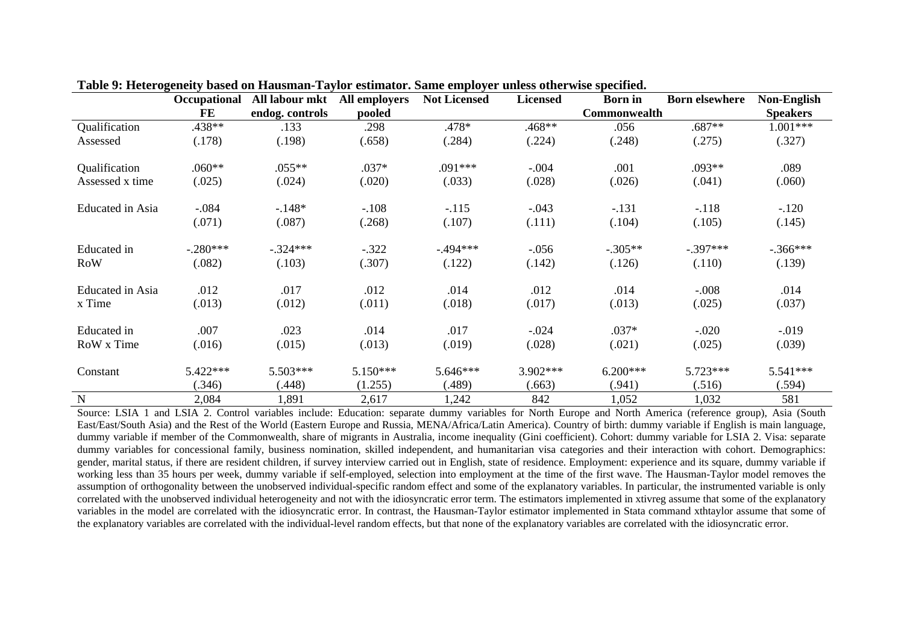|                         | Occupational | All labour mkt  | All employers | <b>Not Licensed</b> | <b>Licensed</b> | <b>Born</b> in | <b>Born elsewhere</b> | Non-English     |
|-------------------------|--------------|-----------------|---------------|---------------------|-----------------|----------------|-----------------------|-----------------|
|                         | FE           | endog. controls | pooled        |                     |                 | Commonwealth   |                       | <b>Speakers</b> |
| Qualification           | .438**       | .133            | .298          | .478*               | .468**          | .056           | $.687**$              | $1.001***$      |
| Assessed                | (.178)       | (.198)          | (.658)        | (.284)              | (.224)          | (.248)         | (.275)                | (.327)          |
| Qualification           | $.060**$     | $.055**$        | .037*         | .091***             | $-.004$         | .001           | $.093**$              | .089            |
| Assessed x time         | (.025)       | (.024)          | (.020)        | (.033)              | (.028)          | (.026)         | (.041)                | (.060)          |
| <b>Educated</b> in Asia | $-.084$      | $-.148*$        | $-.108$       | $-.115$             | $-.043$         | $-.131$        | $-.118$               | $-.120$         |
|                         | (.071)       | (.087)          | (.268)        | (.107)              | (.111)          | (.104)         | (.105)                | (.145)          |
| Educated in             | $-.280***$   | $-.324***$      | $-.322$       | $-494***$           | $-.056$         | $-.305**$      | $-.397***$            | $-.366***$      |
| <b>RoW</b>              | (.082)       | (.103)          | (.307)        | (.122)              | (.142)          | (.126)         | (.110)                | (.139)          |
| <b>Educated</b> in Asia | .012         | .017            | .012          | .014                | .012            | .014           | $-.008$               | .014            |
| x Time                  | (.013)       | (.012)          | (.011)        | (.018)              | (.017)          | (.013)         | (.025)                | (.037)          |
| Educated in             | .007         | .023            | .014          | .017                | $-.024$         | $.037*$        | $-.020$               | $-0.019$        |
| RoW x Time              | (.016)       | (.015)          | (.013)        | (.019)              | (.028)          | (.021)         | (.025)                | (.039)          |
| Constant                | 5.422***     | 5.503***        | 5.150***      | 5.646***            | 3.902***        | $6.200***$     | 5.723***              | $5.541***$      |
|                         | (.346)       | (.448)          | (1.255)       | (.489)              | (.663)          | (.941)         | (.516)                | (.594)          |
| $\mathbf N$             | 2,084        | 1,891           | 2,617         | 1,242               | 842             | 1,052          | 1,032                 | 581             |

**Table 9: Heterogeneity based on Hausman-Taylor estimator. Same employer unless otherwise specified.** 

Source: LSIA 1 and LSIA 2. Control variables include: Education: separate dummy variables for North Europe and North America (reference group), Asia (South East/East/South Asia) and the Rest of the World (Eastern Europe and Russia, MENA/Africa/Latin America). Country of birth: dummy variable if English is main language, dummy variable if member of the Commonwealth, share of migrants in Australia, income inequality (Gini coefficient). Cohort: dummy variable for LSIA 2. Visa: separate dummy variables for concessional family, business nomination, skilled independent, and humanitarian visa categories and their interaction with cohort. Demographics: gender, marital status, if there are resident children, if survey interview carried out in English, state of residence. Employment: experience and its square, dummy variable if working less than 35 hours per week, dummy variable if self-employed, selection into employment at the time of the first wave. The Hausman-Taylor model removes the assumption of orthogonality between the unobserved individual-specific random effect and some of the explanatory variables. In particular, the instrumented variable is only correlated with the unobserved individual heterogeneity and not with the idiosyncratic error term. The estimators implemented in xtivreg assume that some of the explanatory variables in the model are correlated with the idiosyncratic error. In contrast, the Hausman-Taylor estimator implemented in Stata command xthtaylor assume that some of the explanatory variables are correlated with the individual-level random effects, but that none of the explanatory variables are correlated with the idiosyncratic error.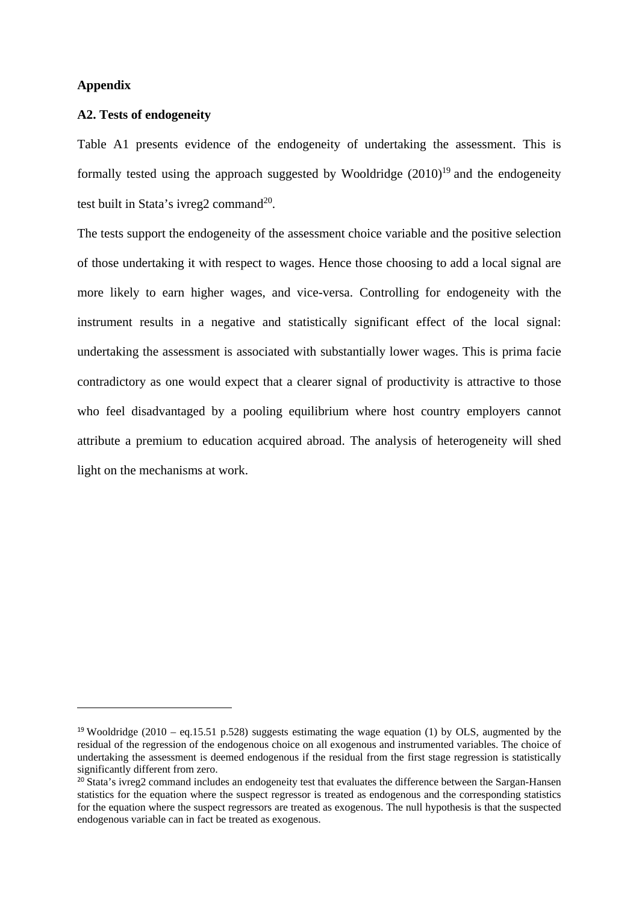#### **Appendix**

1

#### **A2. Tests of endogeneity**

Table A1 presents evidence of the endogeneity of undertaking the assessment. This is formally tested using the approach suggested by Wooldridge  $(2010)^{19}$  and the endogeneity test built in Stata's ivreg2 command $^{20}$ .

The tests support the endogeneity of the assessment choice variable and the positive selection of those undertaking it with respect to wages. Hence those choosing to add a local signal are more likely to earn higher wages, and vice-versa. Controlling for endogeneity with the instrument results in a negative and statistically significant effect of the local signal: undertaking the assessment is associated with substantially lower wages. This is prima facie contradictory as one would expect that a clearer signal of productivity is attractive to those who feel disadvantaged by a pooling equilibrium where host country employers cannot attribute a premium to education acquired abroad. The analysis of heterogeneity will shed light on the mechanisms at work.

<sup>&</sup>lt;sup>19</sup> Wooldridge (2010 – eq.15.51 p.528) suggests estimating the wage equation (1) by OLS, augmented by the residual of the regression of the endogenous choice on all exogenous and instrumented variables. The choice of undertaking the assessment is deemed endogenous if the residual from the first stage regression is statistically significantly different from zero.

<sup>&</sup>lt;sup>20</sup> Stata's ivreg2 command includes an endogeneity test that evaluates the difference between the Sargan-Hansen statistics for the equation where the suspect regressor is treated as endogenous and the corresponding statistics for the equation where the suspect regressors are treated as exogenous. The null hypothesis is that the suspected endogenous variable can in fact be treated as exogenous.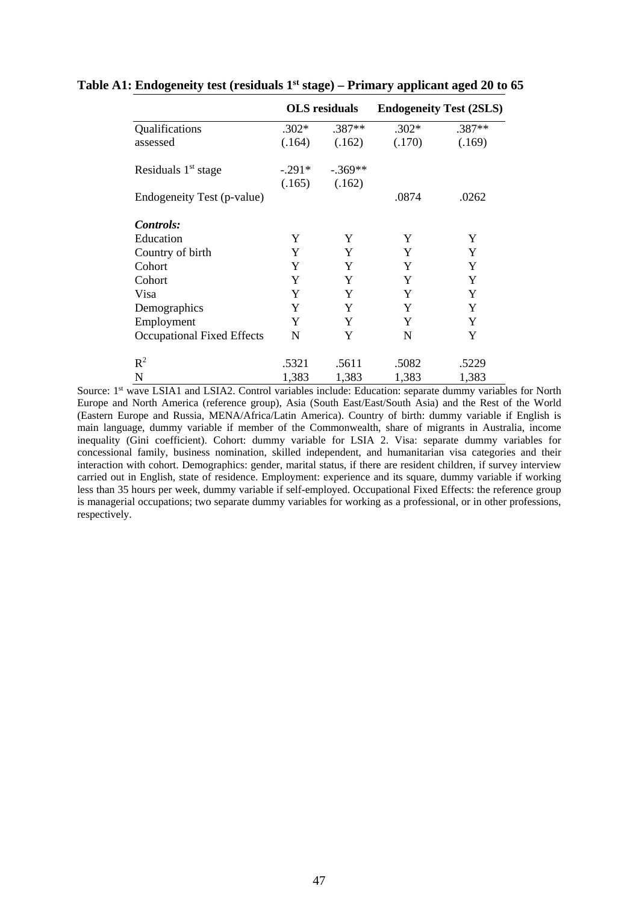|                                   |          | <b>OLS</b> residuals | <b>Endogeneity Test (2SLS)</b> |          |  |
|-----------------------------------|----------|----------------------|--------------------------------|----------|--|
| Qualifications                    | $.302*$  | .387**               | $.302*$                        | $.387**$ |  |
| assessed                          | (.164)   | (.162)               | (.170)                         | (.169)   |  |
| Residuals $1st$ stage             | $-.291*$ | $-.369**$            |                                |          |  |
|                                   | (.165)   | (.162)               |                                |          |  |
| Endogeneity Test (p-value)        |          |                      | .0874                          | .0262    |  |
| Controls:                         |          |                      |                                |          |  |
| Education                         | Y        | Y                    | Y                              | Y        |  |
| Country of birth                  | Y        | Y                    | Y                              | Y        |  |
| Cohort                            | Y        | Y                    | Y                              | Y        |  |
| Cohort                            | Y        | Y                    | Y                              | Y        |  |
| Visa                              | Y        | Y                    | Y                              | Y        |  |
| Demographics                      | Y        | Y                    | Y                              | Y        |  |
| Employment                        | Y        | Y                    | Y                              | Y        |  |
| <b>Occupational Fixed Effects</b> | N        | Y                    | N                              | Y        |  |
| $R^2$                             | .5321    | .5611                | .5082                          | .5229    |  |
| N                                 | 1,383    | 1,383                | 1,383                          | 1,383    |  |

### **Table A1: Endogeneity test (residuals 1st stage) – Primary applicant aged 20 to 65**

Source: 1<sup>st</sup> wave LSIA1 and LSIA2. Control variables include: Education: separate dummy variables for North Europe and North America (reference group), Asia (South East/East/South Asia) and the Rest of the World (Eastern Europe and Russia, MENA/Africa/Latin America). Country of birth: dummy variable if English is main language, dummy variable if member of the Commonwealth, share of migrants in Australia, income inequality (Gini coefficient). Cohort: dummy variable for LSIA 2. Visa: separate dummy variables for concessional family, business nomination, skilled independent, and humanitarian visa categories and their interaction with cohort. Demographics: gender, marital status, if there are resident children, if survey interview carried out in English, state of residence. Employment: experience and its square, dummy variable if working less than 35 hours per week, dummy variable if self-employed. Occupational Fixed Effects: the reference group is managerial occupations; two separate dummy variables for working as a professional, or in other professions, respectively.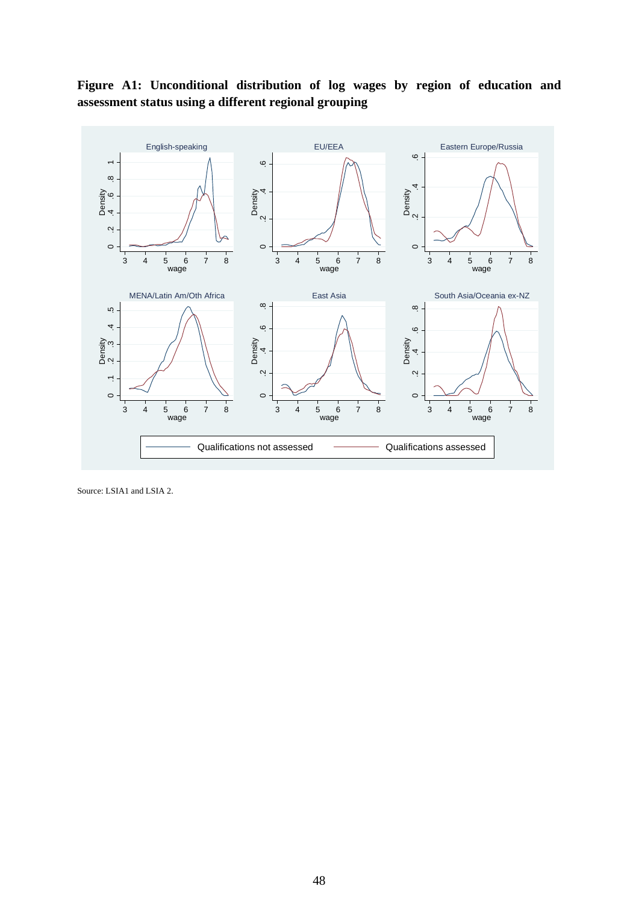

**Figure A1: Unconditional distribution of log wages by region of education and assessment status using a different regional grouping** 

Source: LSIA1 and LSIA 2.